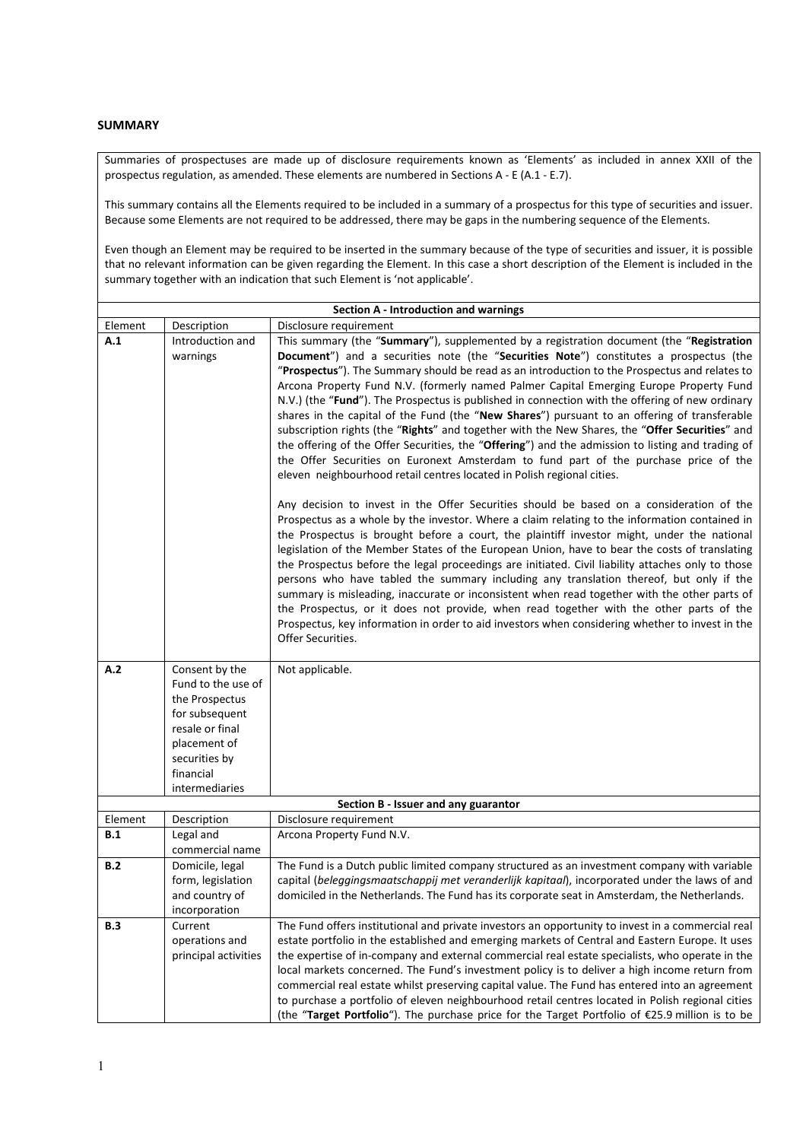## **SUMMARY**

Summaries of prospectuses are made up of disclosure requirements known as 'Elements' as included in annex XXII of the prospectus regulation, as amended. These elements are numbered in Sections A - E (A.1 - E.7).

This summary contains all the Elements required to be included in a summary of a prospectus for this type of securities and issuer. Because some Elements are not required to be addressed, there may be gaps in the numbering sequence of the Elements.

Even though an Element may be required to be inserted in the summary because of the type of securities and issuer, it is possible that no relevant information can be given regarding the Element. In this case a short description of the Element is included in the summary together with an indication that such Element is 'not applicable'.

|            | Section A - Introduction and warnings |                                                                                                                                                                                                    |  |  |  |
|------------|---------------------------------------|----------------------------------------------------------------------------------------------------------------------------------------------------------------------------------------------------|--|--|--|
| Element    | Description                           | Disclosure requirement                                                                                                                                                                             |  |  |  |
| A.1        | Introduction and                      | This summary (the "Summary"), supplemented by a registration document (the "Registration                                                                                                           |  |  |  |
|            | warnings                              | Document") and a securities note (the "Securities Note") constitutes a prospectus (the                                                                                                             |  |  |  |
|            |                                       | "Prospectus"). The Summary should be read as an introduction to the Prospectus and relates to                                                                                                      |  |  |  |
|            |                                       | Arcona Property Fund N.V. (formerly named Palmer Capital Emerging Europe Property Fund                                                                                                             |  |  |  |
|            |                                       | N.V.) (the "Fund"). The Prospectus is published in connection with the offering of new ordinary                                                                                                    |  |  |  |
|            |                                       | shares in the capital of the Fund (the "New Shares") pursuant to an offering of transferable                                                                                                       |  |  |  |
|            |                                       | subscription rights (the "Rights" and together with the New Shares, the "Offer Securities" and                                                                                                     |  |  |  |
|            |                                       | the offering of the Offer Securities, the "Offering") and the admission to listing and trading of<br>the Offer Securities on Euronext Amsterdam to fund part of the purchase price of the          |  |  |  |
|            |                                       | eleven neighbourhood retail centres located in Polish regional cities.                                                                                                                             |  |  |  |
|            |                                       |                                                                                                                                                                                                    |  |  |  |
|            |                                       | Any decision to invest in the Offer Securities should be based on a consideration of the                                                                                                           |  |  |  |
|            |                                       | Prospectus as a whole by the investor. Where a claim relating to the information contained in                                                                                                      |  |  |  |
|            |                                       | the Prospectus is brought before a court, the plaintiff investor might, under the national                                                                                                         |  |  |  |
|            |                                       | legislation of the Member States of the European Union, have to bear the costs of translating<br>the Prospectus before the legal proceedings are initiated. Civil liability attaches only to those |  |  |  |
|            |                                       | persons who have tabled the summary including any translation thereof, but only if the                                                                                                             |  |  |  |
|            |                                       | summary is misleading, inaccurate or inconsistent when read together with the other parts of                                                                                                       |  |  |  |
|            |                                       | the Prospectus, or it does not provide, when read together with the other parts of the                                                                                                             |  |  |  |
|            |                                       | Prospectus, key information in order to aid investors when considering whether to invest in the                                                                                                    |  |  |  |
|            |                                       | Offer Securities.                                                                                                                                                                                  |  |  |  |
|            |                                       |                                                                                                                                                                                                    |  |  |  |
| A.2        | Consent by the<br>Fund to the use of  | Not applicable.                                                                                                                                                                                    |  |  |  |
|            | the Prospectus                        |                                                                                                                                                                                                    |  |  |  |
|            | for subsequent                        |                                                                                                                                                                                                    |  |  |  |
|            | resale or final                       |                                                                                                                                                                                                    |  |  |  |
|            | placement of                          |                                                                                                                                                                                                    |  |  |  |
|            | securities by                         |                                                                                                                                                                                                    |  |  |  |
|            | financial                             |                                                                                                                                                                                                    |  |  |  |
|            | intermediaries                        |                                                                                                                                                                                                    |  |  |  |
|            |                                       | Section B - Issuer and any guarantor                                                                                                                                                               |  |  |  |
| Element    | Description                           | Disclosure requirement                                                                                                                                                                             |  |  |  |
| B.1        | Legal and                             | Arcona Property Fund N.V.                                                                                                                                                                          |  |  |  |
|            | commercial name                       |                                                                                                                                                                                                    |  |  |  |
| B.2        | Domicile, legal                       | The Fund is a Dutch public limited company structured as an investment company with variable                                                                                                       |  |  |  |
|            | form, legislation<br>and country of   | capital (beleggingsmaatschappij met veranderlijk kapitaal), incorporated under the laws of and<br>domiciled in the Netherlands. The Fund has its corporate seat in Amsterdam, the Netherlands.     |  |  |  |
|            | incorporation                         |                                                                                                                                                                                                    |  |  |  |
| <b>B.3</b> | Current                               | The Fund offers institutional and private investors an opportunity to invest in a commercial real                                                                                                  |  |  |  |
|            | operations and                        | estate portfolio in the established and emerging markets of Central and Eastern Europe. It uses                                                                                                    |  |  |  |
|            | principal activities                  | the expertise of in-company and external commercial real estate specialists, who operate in the                                                                                                    |  |  |  |
|            |                                       | local markets concerned. The Fund's investment policy is to deliver a high income return from                                                                                                      |  |  |  |
|            |                                       | commercial real estate whilst preserving capital value. The Fund has entered into an agreement                                                                                                     |  |  |  |
|            |                                       | to purchase a portfolio of eleven neighbourhood retail centres located in Polish regional cities                                                                                                   |  |  |  |
|            |                                       | (the "Target Portfolio"). The purchase price for the Target Portfolio of €25.9 million is to be                                                                                                    |  |  |  |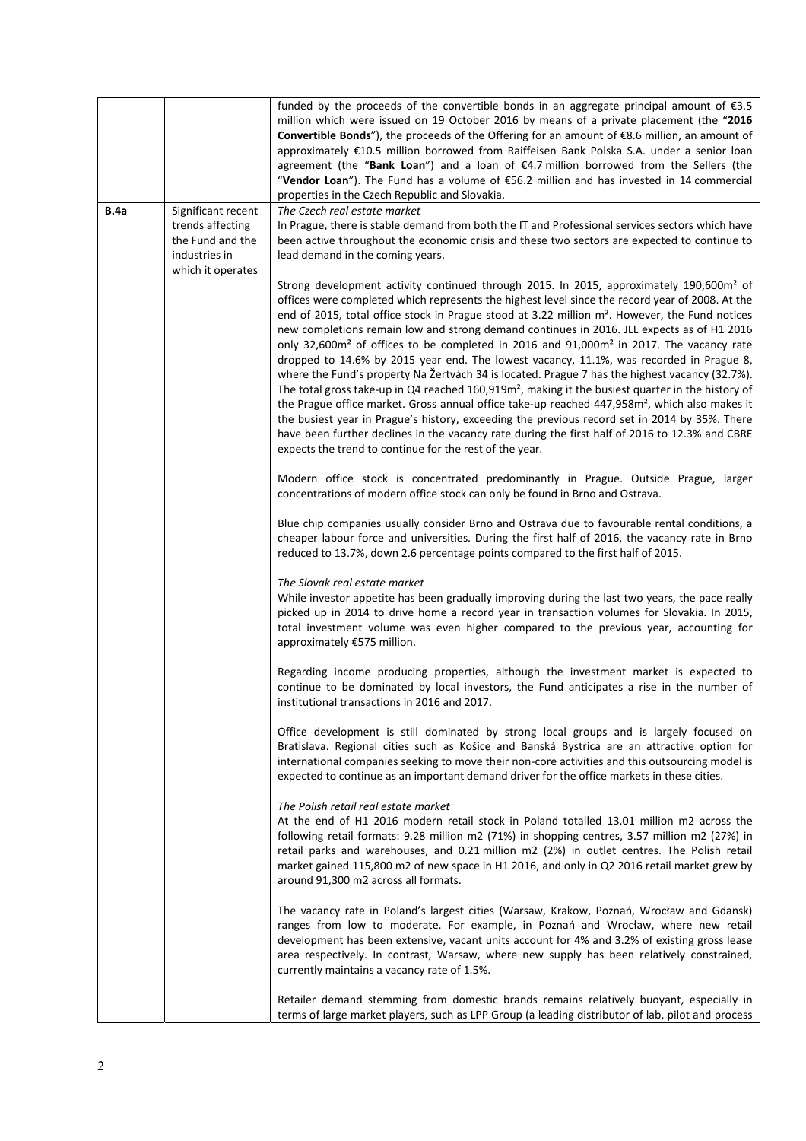|             |                                                                                                  | funded by the proceeds of the convertible bonds in an aggregate principal amount of $\epsilon$ 3.5<br>million which were issued on 19 October 2016 by means of a private placement (the "2016<br><b>Convertible Bonds</b> "), the proceeds of the Offering for an amount of $\epsilon$ 8.6 million, an amount of<br>approximately €10.5 million borrowed from Raiffeisen Bank Polska S.A. under a senior loan<br>agreement (the "Bank Loan") and a loan of €4.7 million borrowed from the Sellers (the<br>"Vendor Loan"). The Fund has a volume of €56.2 million and has invested in 14 commercial<br>properties in the Czech Republic and Slovakia.                                                                                                                                                                                                                                                                                                                                                                                                                                                                                                                                                                          |
|-------------|--------------------------------------------------------------------------------------------------|-------------------------------------------------------------------------------------------------------------------------------------------------------------------------------------------------------------------------------------------------------------------------------------------------------------------------------------------------------------------------------------------------------------------------------------------------------------------------------------------------------------------------------------------------------------------------------------------------------------------------------------------------------------------------------------------------------------------------------------------------------------------------------------------------------------------------------------------------------------------------------------------------------------------------------------------------------------------------------------------------------------------------------------------------------------------------------------------------------------------------------------------------------------------------------------------------------------------------------|
| <b>B.4a</b> | Significant recent<br>trends affecting<br>the Fund and the<br>industries in<br>which it operates | The Czech real estate market<br>In Prague, there is stable demand from both the IT and Professional services sectors which have<br>been active throughout the economic crisis and these two sectors are expected to continue to<br>lead demand in the coming years.                                                                                                                                                                                                                                                                                                                                                                                                                                                                                                                                                                                                                                                                                                                                                                                                                                                                                                                                                           |
|             |                                                                                                  | Strong development activity continued through 2015. In 2015, approximately 190,600m <sup>2</sup> of<br>offices were completed which represents the highest level since the record year of 2008. At the<br>end of 2015, total office stock in Prague stood at 3.22 million m <sup>2</sup> . However, the Fund notices<br>new completions remain low and strong demand continues in 2016. JLL expects as of H1 2016<br>only 32,600m <sup>2</sup> of offices to be completed in 2016 and 91,000m <sup>2</sup> in 2017. The vacancy rate<br>dropped to 14.6% by 2015 year end. The lowest vacancy, 11.1%, was recorded in Prague 8,<br>where the Fund's property Na Žertvách 34 is located. Prague 7 has the highest vacancy (32.7%).<br>The total gross take-up in Q4 reached 160,919m <sup>2</sup> , making it the busiest quarter in the history of<br>the Prague office market. Gross annual office take-up reached 447,958m <sup>2</sup> , which also makes it<br>the busiest year in Prague's history, exceeding the previous record set in 2014 by 35%. There<br>have been further declines in the vacancy rate during the first half of 2016 to 12.3% and CBRE<br>expects the trend to continue for the rest of the year. |
|             |                                                                                                  | Modern office stock is concentrated predominantly in Prague. Outside Prague, larger<br>concentrations of modern office stock can only be found in Brno and Ostrava.                                                                                                                                                                                                                                                                                                                                                                                                                                                                                                                                                                                                                                                                                                                                                                                                                                                                                                                                                                                                                                                           |
|             |                                                                                                  | Blue chip companies usually consider Brno and Ostrava due to favourable rental conditions, a<br>cheaper labour force and universities. During the first half of 2016, the vacancy rate in Brno<br>reduced to 13.7%, down 2.6 percentage points compared to the first half of 2015.                                                                                                                                                                                                                                                                                                                                                                                                                                                                                                                                                                                                                                                                                                                                                                                                                                                                                                                                            |
|             |                                                                                                  | The Slovak real estate market<br>While investor appetite has been gradually improving during the last two years, the pace really<br>picked up in 2014 to drive home a record year in transaction volumes for Slovakia. In 2015,<br>total investment volume was even higher compared to the previous year, accounting for<br>approximately €575 million.                                                                                                                                                                                                                                                                                                                                                                                                                                                                                                                                                                                                                                                                                                                                                                                                                                                                       |
|             |                                                                                                  | Regarding income producing properties, although the investment market is expected to<br>continue to be dominated by local investors, the Fund anticipates a rise in the number of<br>institutional transactions in 2016 and 2017.                                                                                                                                                                                                                                                                                                                                                                                                                                                                                                                                                                                                                                                                                                                                                                                                                                                                                                                                                                                             |
|             |                                                                                                  | Office development is still dominated by strong local groups and is largely focused on<br>Bratislava. Regional cities such as Košice and Banská Bystrica are an attractive option for<br>international companies seeking to move their non-core activities and this outsourcing model is<br>expected to continue as an important demand driver for the office markets in these cities.                                                                                                                                                                                                                                                                                                                                                                                                                                                                                                                                                                                                                                                                                                                                                                                                                                        |
|             |                                                                                                  | The Polish retail real estate market<br>At the end of H1 2016 modern retail stock in Poland totalled 13.01 million m2 across the<br>following retail formats: 9.28 million m2 (71%) in shopping centres, 3.57 million m2 (27%) in<br>retail parks and warehouses, and 0.21 million m2 (2%) in outlet centres. The Polish retail<br>market gained 115,800 m2 of new space in H1 2016, and only in Q2 2016 retail market grew by<br>around 91,300 m2 across all formats.                                                                                                                                                                                                                                                                                                                                                                                                                                                                                                                                                                                                                                                                                                                                                        |
|             |                                                                                                  | The vacancy rate in Poland's largest cities (Warsaw, Krakow, Poznań, Wrocław and Gdansk)<br>ranges from low to moderate. For example, in Poznań and Wrocław, where new retail<br>development has been extensive, vacant units account for 4% and 3.2% of existing gross lease<br>area respectively. In contrast, Warsaw, where new supply has been relatively constrained,<br>currently maintains a vacancy rate of 1.5%.                                                                                                                                                                                                                                                                                                                                                                                                                                                                                                                                                                                                                                                                                                                                                                                                     |
|             |                                                                                                  | Retailer demand stemming from domestic brands remains relatively buoyant, especially in<br>terms of large market players, such as LPP Group (a leading distributor of lab, pilot and process                                                                                                                                                                                                                                                                                                                                                                                                                                                                                                                                                                                                                                                                                                                                                                                                                                                                                                                                                                                                                                  |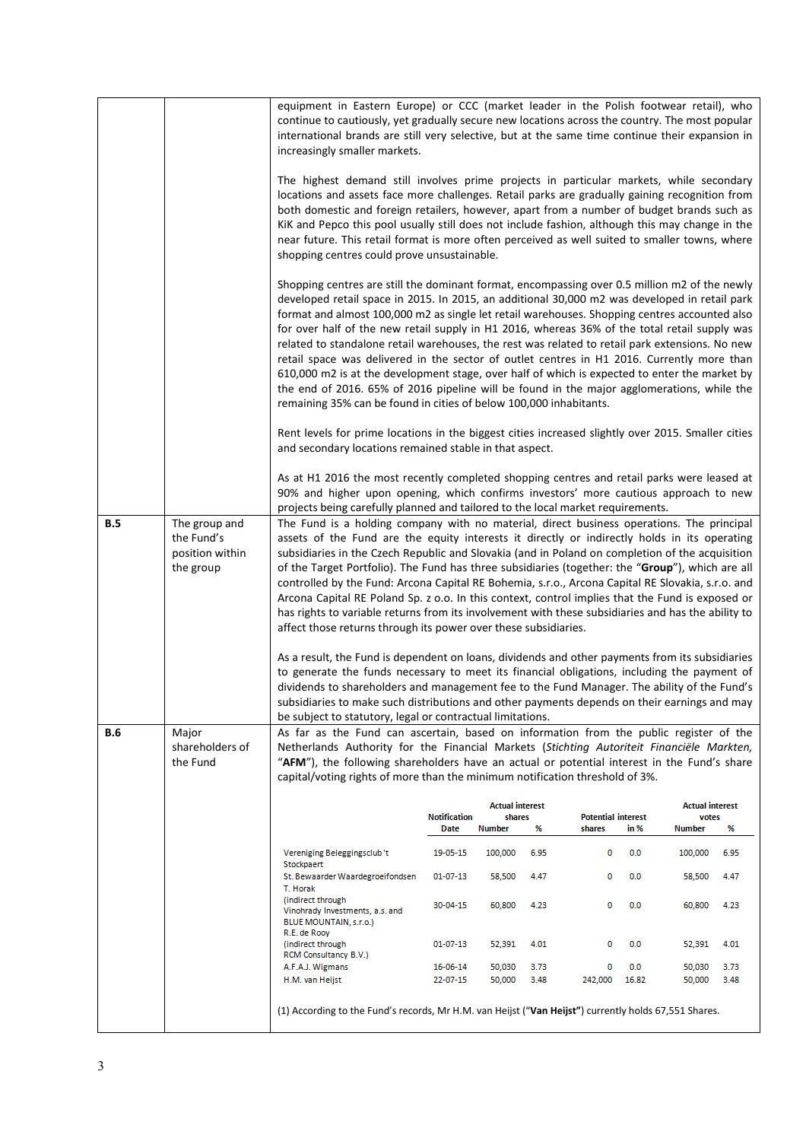|     |                                                             | equipment in Eastern Europe) or CCC (market leader in the Polish footwear retail), who<br>continue to cautiously, yet gradually secure new locations across the country. The most popular<br>international brands are still very selective, but at the same time continue their expansion in<br>increasingly smaller markets.<br>The highest demand still involves prime projects in particular markets, while secondary<br>locations and assets face more challenges. Retail parks are gradually gaining recognition from<br>both domestic and foreign retailers, however, apart from a number of budget brands such as<br>KiK and Pepco this pool usually still does not include fashion, although this may change in the<br>near future. This retail format is more often perceived as well suited to smaller towns, where<br>shopping centres could prove unsustainable.                                                                                                                                                                                                        |                      |                        |              |                              |                        |              |
|-----|-------------------------------------------------------------|-------------------------------------------------------------------------------------------------------------------------------------------------------------------------------------------------------------------------------------------------------------------------------------------------------------------------------------------------------------------------------------------------------------------------------------------------------------------------------------------------------------------------------------------------------------------------------------------------------------------------------------------------------------------------------------------------------------------------------------------------------------------------------------------------------------------------------------------------------------------------------------------------------------------------------------------------------------------------------------------------------------------------------------------------------------------------------------|----------------------|------------------------|--------------|------------------------------|------------------------|--------------|
|     |                                                             | Shopping centres are still the dominant format, encompassing over 0.5 million m2 of the newly<br>developed retail space in 2015. In 2015, an additional 30,000 m2 was developed in retail park<br>format and almost 100,000 m2 as single let retail warehouses. Shopping centres accounted also<br>for over half of the new retail supply in H1 2016, whereas 36% of the total retail supply was<br>related to standalone retail warehouses, the rest was related to retail park extensions. No new<br>retail space was delivered in the sector of outlet centres in H1 2016. Currently more than<br>610,000 m2 is at the development stage, over half of which is expected to enter the market by<br>the end of 2016. 65% of 2016 pipeline will be found in the major agglomerations, while the<br>remaining 35% can be found in cities of below 100,000 inhabitants.<br>Rent levels for prime locations in the biggest cities increased slightly over 2015. Smaller cities                                                                                                        |                      |                        |              |                              |                        |              |
|     |                                                             | and secondary locations remained stable in that aspect.<br>As at H1 2016 the most recently completed shopping centres and retail parks were leased at<br>90% and higher upon opening, which confirms investors' more cautious approach to new                                                                                                                                                                                                                                                                                                                                                                                                                                                                                                                                                                                                                                                                                                                                                                                                                                       |                      |                        |              |                              |                        |              |
|     |                                                             | projects being carefully planned and tailored to the local market requirements.                                                                                                                                                                                                                                                                                                                                                                                                                                                                                                                                                                                                                                                                                                                                                                                                                                                                                                                                                                                                     |                      |                        |              |                              |                        |              |
| B.5 | The group and<br>the Fund's<br>position within<br>the group | The Fund is a holding company with no material, direct business operations. The principal<br>assets of the Fund are the equity interests it directly or indirectly holds in its operating<br>subsidiaries in the Czech Republic and Slovakia (and in Poland on completion of the acquisition<br>of the Target Portfolio). The Fund has three subsidiaries (together: the "Group"), which are all<br>controlled by the Fund: Arcona Capital RE Bohemia, s.r.o., Arcona Capital RE Slovakia, s.r.o. and<br>Arcona Capital RE Poland Sp. z o.o. In this context, control implies that the Fund is exposed or<br>has rights to variable returns from its involvement with these subsidiaries and has the ability to<br>affect those returns through its power over these subsidiaries.<br>As a result, the Fund is dependent on loans, dividends and other payments from its subsidiaries<br>to generate the funds necessary to meet its financial obligations, including the payment of<br>dividends to shareholders and management fee to the Fund Manager. The ability of the Fund's |                      |                        |              |                              |                        |              |
|     |                                                             | subsidiaries to make such distributions and other payments depends on their earnings and may                                                                                                                                                                                                                                                                                                                                                                                                                                                                                                                                                                                                                                                                                                                                                                                                                                                                                                                                                                                        |                      |                        |              |                              |                        |              |
|     |                                                             | be subject to statutory, legal or contractual limitations.                                                                                                                                                                                                                                                                                                                                                                                                                                                                                                                                                                                                                                                                                                                                                                                                                                                                                                                                                                                                                          |                      |                        |              |                              |                        |              |
| B.6 | Major<br>shareholders of<br>the Fund                        | As far as the Fund can ascertain, based on information from the public register of the<br>Netherlands Authority for the Financial Markets (Stichting Autoriteit Financiële Markten,<br>"AFM"), the following shareholders have an actual or potential interest in the Fund's share<br>capital/voting rights of more than the minimum notification threshold of 3%.                                                                                                                                                                                                                                                                                                                                                                                                                                                                                                                                                                                                                                                                                                                  |                      |                        |              |                              |                        |              |
|     |                                                             |                                                                                                                                                                                                                                                                                                                                                                                                                                                                                                                                                                                                                                                                                                                                                                                                                                                                                                                                                                                                                                                                                     |                      | <b>Actual interest</b> |              |                              | <b>Actual interest</b> |              |
|     |                                                             |                                                                                                                                                                                                                                                                                                                                                                                                                                                                                                                                                                                                                                                                                                                                                                                                                                                                                                                                                                                                                                                                                     | <b>Notification</b>  | shares                 |              | <b>Potential interest</b>    | votes                  |              |
|     |                                                             |                                                                                                                                                                                                                                                                                                                                                                                                                                                                                                                                                                                                                                                                                                                                                                                                                                                                                                                                                                                                                                                                                     | <b>Date</b>          | <b>Number</b>          | %            | shares<br>in %               | <b>Number</b>          | %            |
|     |                                                             | Vereniging Beleggingsclub't<br>Stockpaert                                                                                                                                                                                                                                                                                                                                                                                                                                                                                                                                                                                                                                                                                                                                                                                                                                                                                                                                                                                                                                           | 19-05-15             | 100,000                | 6.95         | 0<br>0.0                     | 100,000                | 6.95         |
|     |                                                             | St. Bewaarder Waardegroeifondsen                                                                                                                                                                                                                                                                                                                                                                                                                                                                                                                                                                                                                                                                                                                                                                                                                                                                                                                                                                                                                                                    | 01-07-13             | 58,500                 | 4.47         | 0.0<br>0                     | 58,500                 | 4.47         |
|     |                                                             | T. Horak<br>(indirect through<br>Vinohrady Investments, a.s. and<br>BLUE MOUNTAIN, s.r.o.)                                                                                                                                                                                                                                                                                                                                                                                                                                                                                                                                                                                                                                                                                                                                                                                                                                                                                                                                                                                          | 30-04-15             | 60,800                 | 4.23         | 0<br>0.0                     | 60,800                 | 4.23         |
|     |                                                             | R.E. de Rooy<br>(indirect through                                                                                                                                                                                                                                                                                                                                                                                                                                                                                                                                                                                                                                                                                                                                                                                                                                                                                                                                                                                                                                                   | 01-07-13             | 52,391                 | 4.01         | 0.0<br>0                     | 52,391                 | 4.01         |
|     |                                                             | RCM Consultancy B.V.)                                                                                                                                                                                                                                                                                                                                                                                                                                                                                                                                                                                                                                                                                                                                                                                                                                                                                                                                                                                                                                                               |                      |                        |              |                              |                        |              |
|     |                                                             | A.F.A.J. Wigmans<br>H.M. van Heijst                                                                                                                                                                                                                                                                                                                                                                                                                                                                                                                                                                                                                                                                                                                                                                                                                                                                                                                                                                                                                                                 | 16-06-14<br>22-07-15 | 50,030<br>50,000       | 3.73<br>3.48 | 0.0<br>0<br>242,000<br>16.82 | 50,030<br>50,000       | 3.73<br>3.48 |
|     |                                                             | (1) According to the Fund's records, Mr H.M. van Heijst ("Van Heijst") currently holds 67,551 Shares.                                                                                                                                                                                                                                                                                                                                                                                                                                                                                                                                                                                                                                                                                                                                                                                                                                                                                                                                                                               |                      |                        |              |                              |                        |              |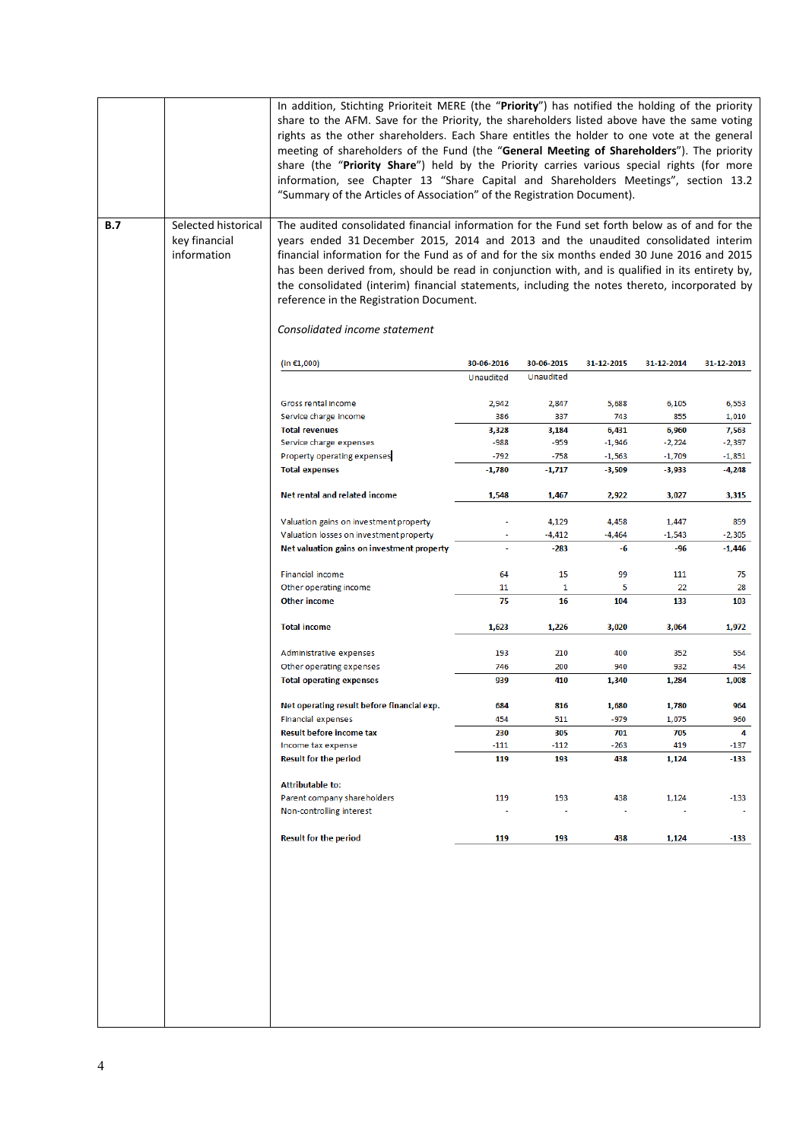|     |                                                     | In addition, Stichting Prioriteit MERE (the "Priority") has notified the holding of the priority<br>share to the AFM. Save for the Priority, the shareholders listed above have the same voting<br>rights as the other shareholders. Each Share entitles the holder to one vote at the general<br>meeting of shareholders of the Fund (the "General Meeting of Shareholders"). The priority<br>share (the "Priority Share") held by the Priority carries various special rights (for more<br>information, see Chapter 13 "Share Capital and Shareholders Meetings", section 13.2<br>"Summary of the Articles of Association" of the Registration Document). |               |               |               |              |              |
|-----|-----------------------------------------------------|-------------------------------------------------------------------------------------------------------------------------------------------------------------------------------------------------------------------------------------------------------------------------------------------------------------------------------------------------------------------------------------------------------------------------------------------------------------------------------------------------------------------------------------------------------------------------------------------------------------------------------------------------------------|---------------|---------------|---------------|--------------|--------------|
| B.7 | Selected historical<br>key financial<br>information | The audited consolidated financial information for the Fund set forth below as of and for the<br>years ended 31 December 2015, 2014 and 2013 and the unaudited consolidated interim<br>financial information for the Fund as of and for the six months ended 30 June 2016 and 2015<br>has been derived from, should be read in conjunction with, and is qualified in its entirety by,<br>the consolidated (interim) financial statements, including the notes thereto, incorporated by<br>reference in the Registration Document.<br>Consolidated income statement                                                                                          |               |               |               |              |              |
|     |                                                     | (in €1,000)                                                                                                                                                                                                                                                                                                                                                                                                                                                                                                                                                                                                                                                 | 30-06-2016    | 30-06-2015    | 31-12-2015    | 31-12-2014   | 31-12-2013   |
|     |                                                     |                                                                                                                                                                                                                                                                                                                                                                                                                                                                                                                                                                                                                                                             | Unaudited     | Unaudited     |               |              |              |
|     |                                                     | Gross rental income                                                                                                                                                                                                                                                                                                                                                                                                                                                                                                                                                                                                                                         | 2,942         | 2,847         | 5,688         | 6,105        | 6,553        |
|     |                                                     | Service charge income                                                                                                                                                                                                                                                                                                                                                                                                                                                                                                                                                                                                                                       | 386           | 337           | 743           | 855          | 1,010        |
|     |                                                     | <b>Total revenues</b>                                                                                                                                                                                                                                                                                                                                                                                                                                                                                                                                                                                                                                       | 3,328         | 3,184         | 6,431         | 6,960        | 7,563        |
|     |                                                     | Service charge expenses                                                                                                                                                                                                                                                                                                                                                                                                                                                                                                                                                                                                                                     | $-988$        | $-959$        | $-1,946$      | $-2,224$     | $-2,397$     |
|     |                                                     | Property operating expenses                                                                                                                                                                                                                                                                                                                                                                                                                                                                                                                                                                                                                                 | $-792$        | $-758$        | $-1,563$      | $-1,709$     | $-1,851$     |
|     |                                                     | <b>Total expenses</b>                                                                                                                                                                                                                                                                                                                                                                                                                                                                                                                                                                                                                                       | $-1,780$      | -1,717        | $-3,509$      | -3,933       | -4,248       |
|     |                                                     | Net rental and related income                                                                                                                                                                                                                                                                                                                                                                                                                                                                                                                                                                                                                               | 1,548         | 1,467         | 2,922         | 3,027        | 3,315        |
|     |                                                     | Valuation gains on investment property                                                                                                                                                                                                                                                                                                                                                                                                                                                                                                                                                                                                                      |               | 4,129         | 4,458         | 1,447        | 859          |
|     |                                                     | Valuation losses on investment property                                                                                                                                                                                                                                                                                                                                                                                                                                                                                                                                                                                                                     |               | -4,412        | $-4,464$      | $-1,543$     | -2,305       |
|     |                                                     | Net valuation gains on investment property                                                                                                                                                                                                                                                                                                                                                                                                                                                                                                                                                                                                                  |               | $-283$        | -6            | -96          | $-1,446$     |
|     |                                                     | Financial income                                                                                                                                                                                                                                                                                                                                                                                                                                                                                                                                                                                                                                            | 64            | 15            | 99            | 111          | 75           |
|     |                                                     | Other operating income                                                                                                                                                                                                                                                                                                                                                                                                                                                                                                                                                                                                                                      | 11            | 1             | 5             | 22           | 28           |
|     |                                                     | <b>Other income</b>                                                                                                                                                                                                                                                                                                                                                                                                                                                                                                                                                                                                                                         | 75            | 16            | 104           | 133          | 103          |
|     |                                                     | <b>Total income</b>                                                                                                                                                                                                                                                                                                                                                                                                                                                                                                                                                                                                                                         | 1,623         | 1,226         | 3,020         | 3,064        | 1,972        |
|     |                                                     | Administrative expenses                                                                                                                                                                                                                                                                                                                                                                                                                                                                                                                                                                                                                                     | 193           | 210           | 400           | 352          | 554          |
|     |                                                     | Other operating expenses                                                                                                                                                                                                                                                                                                                                                                                                                                                                                                                                                                                                                                    | 746           | 200           | 940           | 932          | 454          |
|     |                                                     | <b>Total operating expenses</b>                                                                                                                                                                                                                                                                                                                                                                                                                                                                                                                                                                                                                             | 939           | 410           | 1,340         | 1,284        | 1,008        |
|     |                                                     | Net operating result before financial exp.                                                                                                                                                                                                                                                                                                                                                                                                                                                                                                                                                                                                                  | 684           | 816           | 1,680         | 1,780        | 964          |
|     |                                                     | <b>Financial expenses</b>                                                                                                                                                                                                                                                                                                                                                                                                                                                                                                                                                                                                                                   | 454           | 511           | $-979$        | 1,075        | 960          |
|     |                                                     | <b>Result before income tax</b>                                                                                                                                                                                                                                                                                                                                                                                                                                                                                                                                                                                                                             | 230           | 305           | 701           | 705          | 4            |
|     |                                                     | Income tax expense<br><b>Result for the period</b>                                                                                                                                                                                                                                                                                                                                                                                                                                                                                                                                                                                                          | $-111$<br>119 | $-112$<br>193 | $-263$<br>438 | 419<br>1,124 | -137<br>-133 |
|     |                                                     | <b>Attributable to:</b>                                                                                                                                                                                                                                                                                                                                                                                                                                                                                                                                                                                                                                     |               |               |               |              |              |
|     |                                                     | Parent company shareholders<br>Non-controlling interest                                                                                                                                                                                                                                                                                                                                                                                                                                                                                                                                                                                                     | 119           | 193           | 438           | 1,124        | $-133$       |
|     |                                                     | <b>Result for the period</b>                                                                                                                                                                                                                                                                                                                                                                                                                                                                                                                                                                                                                                | 119           | 193           | 438           | 1,124        | -133         |
|     |                                                     |                                                                                                                                                                                                                                                                                                                                                                                                                                                                                                                                                                                                                                                             |               |               |               |              |              |

 $\mathbf{I}$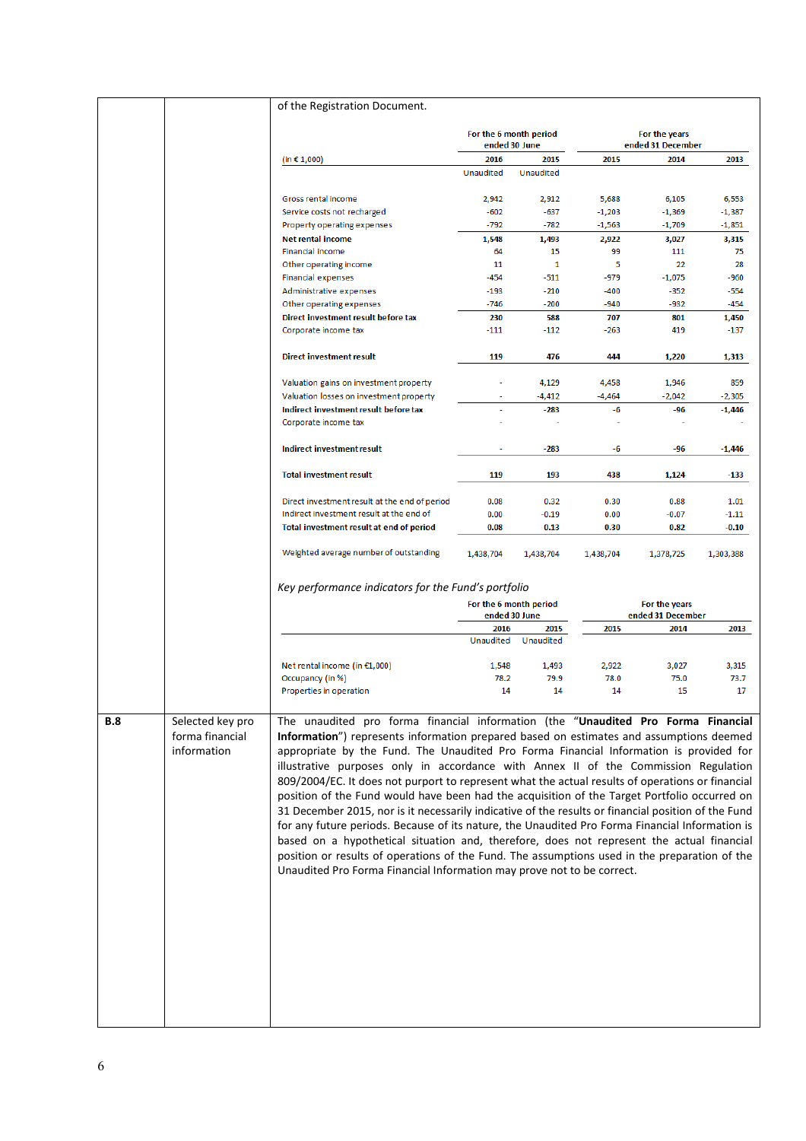|     |                                                    | of the Registration Document.                                                                                                                                                                                                                                                                                                                                                                                                                                                                                                                                                                                                                                                                                                                                                                                                                                                                                                                                                                                                                       |                   |                                         |               |                                    |               |
|-----|----------------------------------------------------|-----------------------------------------------------------------------------------------------------------------------------------------------------------------------------------------------------------------------------------------------------------------------------------------------------------------------------------------------------------------------------------------------------------------------------------------------------------------------------------------------------------------------------------------------------------------------------------------------------------------------------------------------------------------------------------------------------------------------------------------------------------------------------------------------------------------------------------------------------------------------------------------------------------------------------------------------------------------------------------------------------------------------------------------------------|-------------------|-----------------------------------------|---------------|------------------------------------|---------------|
|     |                                                    |                                                                                                                                                                                                                                                                                                                                                                                                                                                                                                                                                                                                                                                                                                                                                                                                                                                                                                                                                                                                                                                     |                   | For the 6 month period<br>ended 30 June |               | For the years<br>ended 31 December |               |
|     |                                                    | (in € 1,000)                                                                                                                                                                                                                                                                                                                                                                                                                                                                                                                                                                                                                                                                                                                                                                                                                                                                                                                                                                                                                                        | 2016              | 2015                                    | 2015          | 2014                               | 2013          |
|     |                                                    |                                                                                                                                                                                                                                                                                                                                                                                                                                                                                                                                                                                                                                                                                                                                                                                                                                                                                                                                                                                                                                                     | <b>Unaudited</b>  | Unaudited                               |               |                                    |               |
|     |                                                    | Gross rental income                                                                                                                                                                                                                                                                                                                                                                                                                                                                                                                                                                                                                                                                                                                                                                                                                                                                                                                                                                                                                                 | 2,942             | 2,912                                   | 5,688         | 6,105                              | 6,553         |
|     |                                                    | Service costs not recharged                                                                                                                                                                                                                                                                                                                                                                                                                                                                                                                                                                                                                                                                                                                                                                                                                                                                                                                                                                                                                         | $-602$            | $-637$                                  | $-1,203$      | $-1,369$                           | $-1,387$      |
|     |                                                    | Property operating expenses                                                                                                                                                                                                                                                                                                                                                                                                                                                                                                                                                                                                                                                                                                                                                                                                                                                                                                                                                                                                                         | $-792$            | $-782$                                  | $-1,563$      | $-1,709$                           | $-1,851$      |
|     |                                                    | <b>Net rental income</b>                                                                                                                                                                                                                                                                                                                                                                                                                                                                                                                                                                                                                                                                                                                                                                                                                                                                                                                                                                                                                            | 1,548             | 1,493                                   | 2,922         | 3,027                              | 3,315         |
|     |                                                    | Financial income                                                                                                                                                                                                                                                                                                                                                                                                                                                                                                                                                                                                                                                                                                                                                                                                                                                                                                                                                                                                                                    | 64                | 15                                      | 99            | 111                                | 75            |
|     |                                                    | Other operating income                                                                                                                                                                                                                                                                                                                                                                                                                                                                                                                                                                                                                                                                                                                                                                                                                                                                                                                                                                                                                              | 11                | 1                                       | 5             | 22                                 | 28            |
|     |                                                    | <b>Financial expenses</b>                                                                                                                                                                                                                                                                                                                                                                                                                                                                                                                                                                                                                                                                                                                                                                                                                                                                                                                                                                                                                           | -454              | $-511$                                  | $-979$        | $-1,075$                           | -960          |
|     |                                                    | Administrative expenses                                                                                                                                                                                                                                                                                                                                                                                                                                                                                                                                                                                                                                                                                                                                                                                                                                                                                                                                                                                                                             | $-193$            | $-210$                                  | -400          | -352                               | $-554$        |
|     |                                                    | Other operating expenses                                                                                                                                                                                                                                                                                                                                                                                                                                                                                                                                                                                                                                                                                                                                                                                                                                                                                                                                                                                                                            | $-746$            | $-200$                                  | $-940$        | $-932$                             | -454          |
|     |                                                    | Direct investment result before tax<br>Corporate income tax                                                                                                                                                                                                                                                                                                                                                                                                                                                                                                                                                                                                                                                                                                                                                                                                                                                                                                                                                                                         | 230<br>$-111$     | 588<br>$-112$                           | 707<br>$-263$ | 801<br>419                         | 1,450<br>-137 |
|     |                                                    |                                                                                                                                                                                                                                                                                                                                                                                                                                                                                                                                                                                                                                                                                                                                                                                                                                                                                                                                                                                                                                                     |                   |                                         |               |                                    |               |
|     |                                                    | <b>Direct investment result</b>                                                                                                                                                                                                                                                                                                                                                                                                                                                                                                                                                                                                                                                                                                                                                                                                                                                                                                                                                                                                                     | 119               | 476                                     | 444           | 1,220                              | 1,313         |
|     |                                                    | Valuation gains on investment property                                                                                                                                                                                                                                                                                                                                                                                                                                                                                                                                                                                                                                                                                                                                                                                                                                                                                                                                                                                                              |                   | 4,129                                   | 4,458         | 1,946                              | 859           |
|     |                                                    | Valuation losses on investment property                                                                                                                                                                                                                                                                                                                                                                                                                                                                                                                                                                                                                                                                                                                                                                                                                                                                                                                                                                                                             |                   | $-4,412$                                | $-4,464$      | $-2,042$                           | $-2,305$      |
|     |                                                    | Indirect investment result before tax                                                                                                                                                                                                                                                                                                                                                                                                                                                                                                                                                                                                                                                                                                                                                                                                                                                                                                                                                                                                               |                   | $-283$                                  | -6            | $-96$                              | $-1,446$      |
|     |                                                    | Corporate income tax                                                                                                                                                                                                                                                                                                                                                                                                                                                                                                                                                                                                                                                                                                                                                                                                                                                                                                                                                                                                                                |                   |                                         |               |                                    |               |
|     |                                                    | Indirect investment result                                                                                                                                                                                                                                                                                                                                                                                                                                                                                                                                                                                                                                                                                                                                                                                                                                                                                                                                                                                                                          |                   | $-283$                                  | -6            | $-96$                              | $-1,446$      |
|     |                                                    | <b>Total investment result</b>                                                                                                                                                                                                                                                                                                                                                                                                                                                                                                                                                                                                                                                                                                                                                                                                                                                                                                                                                                                                                      | 119               | 193                                     | 438           | 1,124                              | -133          |
|     |                                                    | Direct investment result at the end of period                                                                                                                                                                                                                                                                                                                                                                                                                                                                                                                                                                                                                                                                                                                                                                                                                                                                                                                                                                                                       | 0.08              | 0.32                                    | 0.30          | 0.88                               | 1.01          |
|     |                                                    | Indirect investment result at the end of                                                                                                                                                                                                                                                                                                                                                                                                                                                                                                                                                                                                                                                                                                                                                                                                                                                                                                                                                                                                            | 0.00              | $-0.19$                                 | 0.00          | $-0.07$                            | $-1.11$       |
|     |                                                    | Total investment result at end of period                                                                                                                                                                                                                                                                                                                                                                                                                                                                                                                                                                                                                                                                                                                                                                                                                                                                                                                                                                                                            | 0.08              | 0.13                                    | 0.30          | 0.82                               | $-0.10$       |
|     |                                                    | Weighted average number of outstanding                                                                                                                                                                                                                                                                                                                                                                                                                                                                                                                                                                                                                                                                                                                                                                                                                                                                                                                                                                                                              | 1,438,704         | 1,438,704                               | 1,438,704     | 1,378,725                          | 1,303,388     |
|     |                                                    | Key performance indicators for the Fund's portfolio                                                                                                                                                                                                                                                                                                                                                                                                                                                                                                                                                                                                                                                                                                                                                                                                                                                                                                                                                                                                 |                   | For the 6 month period                  |               | For the years                      |               |
|     |                                                    |                                                                                                                                                                                                                                                                                                                                                                                                                                                                                                                                                                                                                                                                                                                                                                                                                                                                                                                                                                                                                                                     |                   | ended 30 June                           |               | ended 31 December                  |               |
|     |                                                    |                                                                                                                                                                                                                                                                                                                                                                                                                                                                                                                                                                                                                                                                                                                                                                                                                                                                                                                                                                                                                                                     | 2016<br>Unaudited | 2015<br>Unaudited                       | 2015          | 2014                               | 2013          |
|     |                                                    | Net rental income (in €1,000)                                                                                                                                                                                                                                                                                                                                                                                                                                                                                                                                                                                                                                                                                                                                                                                                                                                                                                                                                                                                                       | 1,548             | 1,493                                   | 2,922         | 3,027                              | 3,315         |
|     |                                                    | Occupancy (in %)                                                                                                                                                                                                                                                                                                                                                                                                                                                                                                                                                                                                                                                                                                                                                                                                                                                                                                                                                                                                                                    | 78.2              | 79.9                                    | 78.0          | 75.0                               | 73.7          |
|     |                                                    | Properties in operation                                                                                                                                                                                                                                                                                                                                                                                                                                                                                                                                                                                                                                                                                                                                                                                                                                                                                                                                                                                                                             | 14                | 14                                      | 14            | 15                                 | 17            |
| B.8 | Selected key pro<br>forma financial<br>information | The unaudited pro forma financial information (the "Unaudited Pro Forma Financial<br>Information") represents information prepared based on estimates and assumptions deemed<br>appropriate by the Fund. The Unaudited Pro Forma Financial Information is provided for<br>illustrative purposes only in accordance with Annex II of the Commission Regulation<br>809/2004/EC. It does not purport to represent what the actual results of operations or financial<br>position of the Fund would have been had the acquisition of the Target Portfolio occurred on<br>31 December 2015, nor is it necessarily indicative of the results or financial position of the Fund<br>for any future periods. Because of its nature, the Unaudited Pro Forma Financial Information is<br>based on a hypothetical situation and, therefore, does not represent the actual financial<br>position or results of operations of the Fund. The assumptions used in the preparation of the<br>Unaudited Pro Forma Financial Information may prove not to be correct. |                   |                                         |               |                                    |               |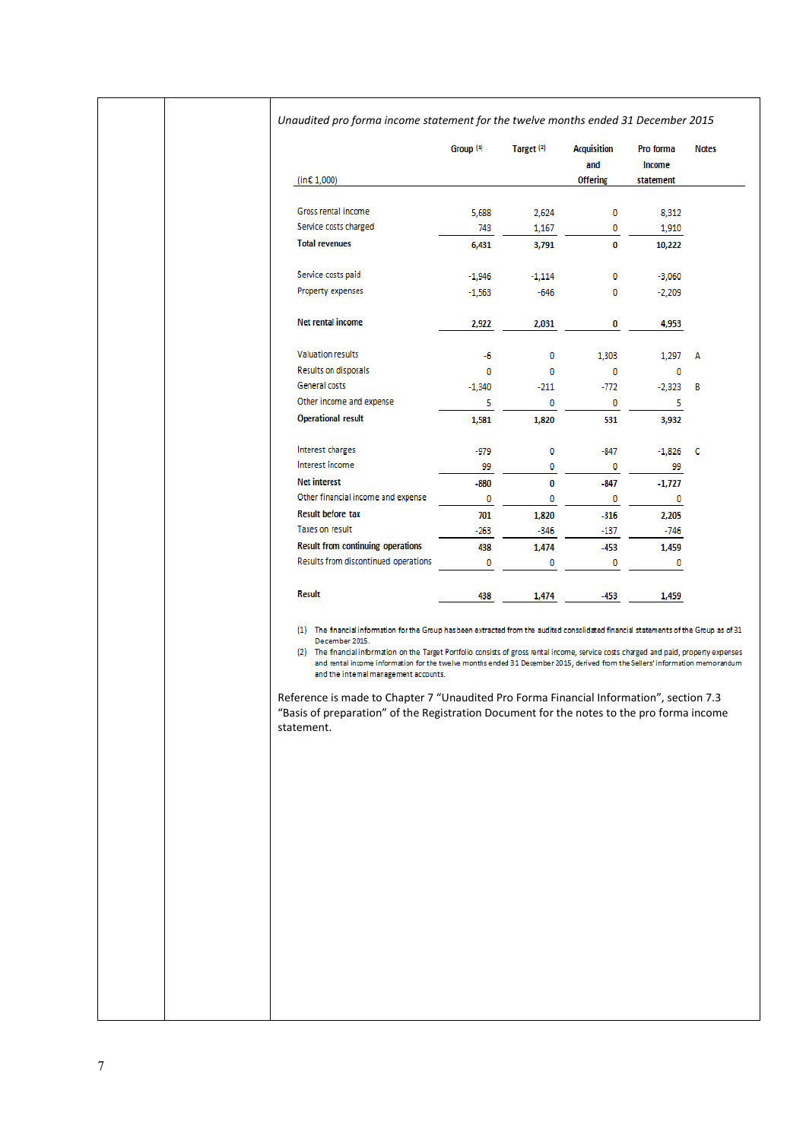|                                                                                                                                                                                                                                                                                            | Group <sup>(1)</sup>                  | Target <sup>(2)</sup> | <b>Acquisition</b><br>and | Pro forma<br>Income |
|--------------------------------------------------------------------------------------------------------------------------------------------------------------------------------------------------------------------------------------------------------------------------------------------|---------------------------------------|-----------------------|---------------------------|---------------------|
| (in $\epsilon$ 1,000)                                                                                                                                                                                                                                                                      |                                       |                       | <b>Offering</b>           | statement           |
| Gross rental income                                                                                                                                                                                                                                                                        | 5,688                                 | 2,624                 | 0                         | 8,312               |
| Service costs charged                                                                                                                                                                                                                                                                      | 743                                   | 1,167                 | 0                         | 1,910               |
| <b>Total revenues</b>                                                                                                                                                                                                                                                                      | 6,431                                 | 3,791                 | 0                         | 10,222              |
| Service costs paid                                                                                                                                                                                                                                                                         | $-1,946$                              | $-1,114$              | 0                         | $-3,060$            |
| Property expenses                                                                                                                                                                                                                                                                          | $-1,563$                              | -646                  | 0                         | -2,209              |
| Net rental income                                                                                                                                                                                                                                                                          | 2,922                                 | 2,031                 | 0                         | 4,953               |
| <b>Valuation results</b>                                                                                                                                                                                                                                                                   | -6                                    | 0                     | 1,303                     | 1,297               |
| Results on disposals                                                                                                                                                                                                                                                                       | 0                                     | 0                     | 0                         | 0                   |
| General costs                                                                                                                                                                                                                                                                              | $-1,340$                              | $-211$                | $-772$                    | -2,323              |
| Other income and expense                                                                                                                                                                                                                                                                   | 5                                     | 0                     | 0                         | 5                   |
| <b>Operational result</b>                                                                                                                                                                                                                                                                  | 1,581                                 | 1,820                 | 531                       | 3,932               |
| Interest charges                                                                                                                                                                                                                                                                           | -979                                  | 0                     | -847                      | $-1,826$ C          |
| Interest income                                                                                                                                                                                                                                                                            | 99                                    | 0                     | 0                         | 99                  |
| <b>Net interest</b>                                                                                                                                                                                                                                                                        | $-880$                                | 0                     | -847                      | $-1,727$            |
| Other financial income and expense                                                                                                                                                                                                                                                         | 0                                     | 0                     | 0                         | 0                   |
| <b>Result before tax</b>                                                                                                                                                                                                                                                                   | 701                                   | 1,820                 | $-316$                    | 2,205               |
| Taxes on result                                                                                                                                                                                                                                                                            | -263                                  | -346                  | -137                      | -746                |
| <b>Result from continuing operations</b>                                                                                                                                                                                                                                                   | 438                                   | 1,474                 | $-453$                    | 1,459               |
| Results from discontinued operations                                                                                                                                                                                                                                                       | 0                                     | 0                     | 0                         | 0                   |
| <b>Result</b>                                                                                                                                                                                                                                                                              | 438                                   | 1,474                 | -453                      | 1,459               |
| December 2015.<br>(2) The financial information on the Target Portfolio consists of gross rental income, service costs charged and paid, property expenses<br>and rental income information for the twelve months ended 31 December 2015, derived from the Sellers' information memorandum | and the internal management accounts. |                       |                           |                     |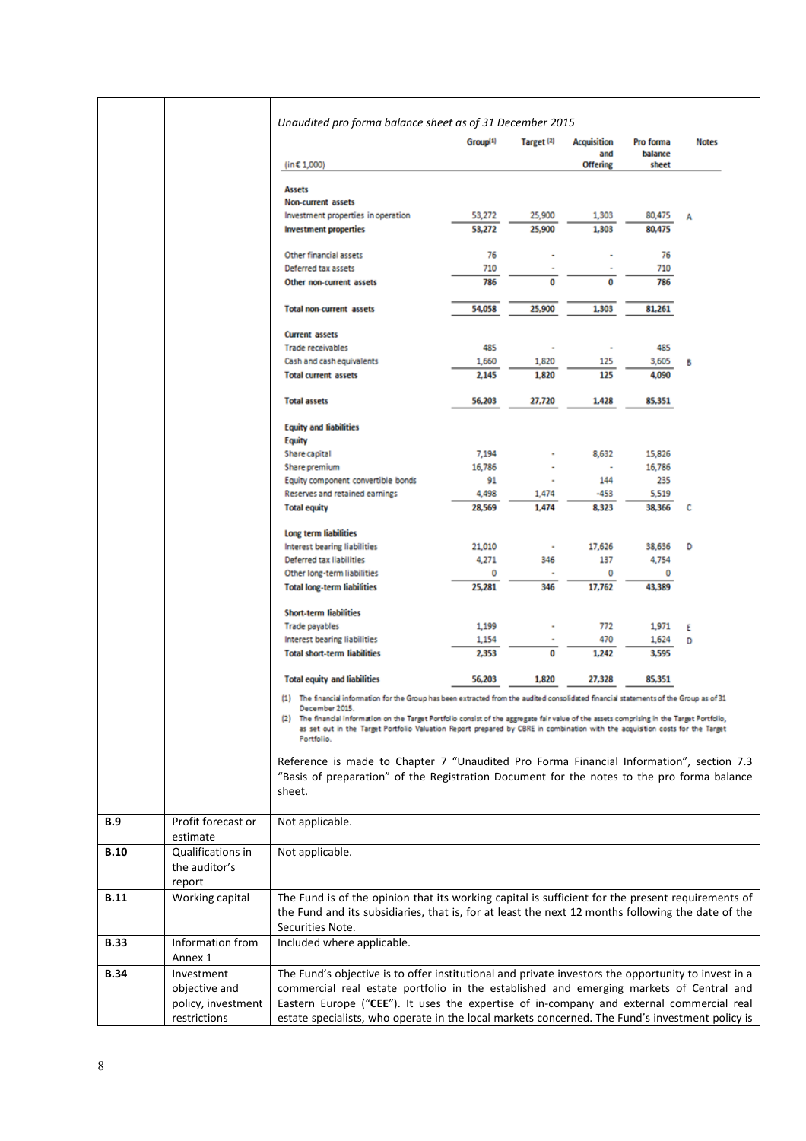|             |                                              | Unaudited pro forma balance sheet as of 31 December 2015                                                                                                                                                                                                                                                                                                                                                                                                   |                      |                       |                           |                      |              |
|-------------|----------------------------------------------|------------------------------------------------------------------------------------------------------------------------------------------------------------------------------------------------------------------------------------------------------------------------------------------------------------------------------------------------------------------------------------------------------------------------------------------------------------|----------------------|-----------------------|---------------------------|----------------------|--------------|
|             |                                              |                                                                                                                                                                                                                                                                                                                                                                                                                                                            | Group <sup>(1)</sup> | Target <sup>(2)</sup> | <b>Acquisition</b><br>and | Pro forma<br>balance | <b>Notes</b> |
|             |                                              | (in $£ 1,000$ )                                                                                                                                                                                                                                                                                                                                                                                                                                            |                      |                       | <b>Offering</b>           | sheet                |              |
|             |                                              | <b>Assets</b>                                                                                                                                                                                                                                                                                                                                                                                                                                              |                      |                       |                           |                      |              |
|             |                                              | Non-current assets                                                                                                                                                                                                                                                                                                                                                                                                                                         |                      |                       |                           |                      |              |
|             |                                              | Investment properties in operation                                                                                                                                                                                                                                                                                                                                                                                                                         | 53,272               | 25,900                | 1,303                     | 80,475               | А            |
|             |                                              | <b>Investment properties</b>                                                                                                                                                                                                                                                                                                                                                                                                                               | 53,272               | 25,900                | 1,303                     | 80,475               |              |
|             |                                              | Other financial assets                                                                                                                                                                                                                                                                                                                                                                                                                                     | 76                   |                       |                           | 76                   |              |
|             |                                              | Deferred tax assets                                                                                                                                                                                                                                                                                                                                                                                                                                        | 710                  |                       |                           | 710                  |              |
|             |                                              | Other non-current assets                                                                                                                                                                                                                                                                                                                                                                                                                                   | 786                  | 0                     | 0                         | 786                  |              |
|             |                                              | <b>Total non-current assets</b>                                                                                                                                                                                                                                                                                                                                                                                                                            | 54,058               | 25,900                | 1,303                     | 81,261               |              |
|             |                                              | <b>Current assets</b>                                                                                                                                                                                                                                                                                                                                                                                                                                      |                      |                       |                           |                      |              |
|             |                                              | Trade receivables                                                                                                                                                                                                                                                                                                                                                                                                                                          | 485                  |                       | ×                         | 485                  |              |
|             |                                              | Cash and cash equivalents                                                                                                                                                                                                                                                                                                                                                                                                                                  | 1,660                | 1,820                 | 125                       | 3,605                | в            |
|             |                                              | <b>Total current assets</b>                                                                                                                                                                                                                                                                                                                                                                                                                                | 2,145                | 1,820                 | 125                       | 4,090                |              |
|             |                                              | <b>Total assets</b>                                                                                                                                                                                                                                                                                                                                                                                                                                        | 56,203               | 27,720                | 1,428                     | 85,351               |              |
|             |                                              | <b>Equity and liabilities</b>                                                                                                                                                                                                                                                                                                                                                                                                                              |                      |                       |                           |                      |              |
|             |                                              | <b>Equity</b><br>Share capital                                                                                                                                                                                                                                                                                                                                                                                                                             | 7,194                |                       | 8,632                     | 15,826               |              |
|             |                                              | Share premium                                                                                                                                                                                                                                                                                                                                                                                                                                              | 16,786               |                       |                           | 16,786               |              |
|             |                                              | Equity component convertible bonds                                                                                                                                                                                                                                                                                                                                                                                                                         | 91                   |                       | 144                       | 235                  |              |
|             |                                              | Reserves and retained earnings                                                                                                                                                                                                                                                                                                                                                                                                                             | 4,498                | 1,474                 | -453                      | 5,519                |              |
|             |                                              | <b>Total equity</b>                                                                                                                                                                                                                                                                                                                                                                                                                                        | 28.569               | 1,474                 | 8.323                     | 38,366               | c            |
|             |                                              | Long term liabilities                                                                                                                                                                                                                                                                                                                                                                                                                                      |                      |                       |                           |                      |              |
|             |                                              | Interest bearing liabilities                                                                                                                                                                                                                                                                                                                                                                                                                               | 21,010               | ٠                     | 17,626                    | 38,636               | D            |
|             |                                              | Deferred tax liabilities<br>Other long-term liabilities                                                                                                                                                                                                                                                                                                                                                                                                    | 4,271<br>0           | 346                   | 137<br>0                  | 4,754<br>0           |              |
|             |                                              | <b>Total long-term liabilities</b>                                                                                                                                                                                                                                                                                                                                                                                                                         | 25,281               | 346                   | 17,762                    | 43,389               |              |
|             |                                              | <b>Short-term liabilities</b>                                                                                                                                                                                                                                                                                                                                                                                                                              |                      |                       |                           |                      |              |
|             |                                              | Trade payables                                                                                                                                                                                                                                                                                                                                                                                                                                             | 1,199                |                       | 772                       | 1,971                | ε            |
|             |                                              | Interest bearing liabilities                                                                                                                                                                                                                                                                                                                                                                                                                               | 1,154                |                       | 470                       | 1,624                | D            |
|             |                                              | <b>Total short-term liabilities</b>                                                                                                                                                                                                                                                                                                                                                                                                                        | 2,353                | 0                     | 1,242                     | 3,595                |              |
|             |                                              | <b>Total equity and liabilities</b>                                                                                                                                                                                                                                                                                                                                                                                                                        | 56,203               | 1,820                 | 27,328                    | 85,351               |              |
|             |                                              | (1) The financial information for the Group has been extracted from the audited consolidated financial statements of the Group as of 31<br>December 2015.<br>The financial information on the Target Portfolio consist of the aggregate fair value of the assets comprising in the Target Portfolio,<br>(2)<br>as set out in the Target Portfolio Valuation Report prepared by CBRE in combination with the acquisition costs for the Target<br>Portfolio. |                      |                       |                           |                      |              |
|             |                                              | Reference is made to Chapter 7 "Unaudited Pro Forma Financial Information", section 7.3<br>"Basis of preparation" of the Registration Document for the notes to the pro forma balance<br>sheet.                                                                                                                                                                                                                                                            |                      |                       |                           |                      |              |
| B.9         | Profit forecast or<br>estimate               | Not applicable.                                                                                                                                                                                                                                                                                                                                                                                                                                            |                      |                       |                           |                      |              |
| <b>B.10</b> | Qualifications in<br>the auditor's<br>report | Not applicable.                                                                                                                                                                                                                                                                                                                                                                                                                                            |                      |                       |                           |                      |              |
| <b>B.11</b> | Working capital                              | The Fund is of the opinion that its working capital is sufficient for the present requirements of<br>the Fund and its subsidiaries, that is, for at least the next 12 months following the date of the<br>Securities Note.                                                                                                                                                                                                                                 |                      |                       |                           |                      |              |
| <b>B.33</b> | Information from<br>Annex 1                  | Included where applicable.                                                                                                                                                                                                                                                                                                                                                                                                                                 |                      |                       |                           |                      |              |
| <b>B.34</b> | Investment                                   | The Fund's objective is to offer institutional and private investors the opportunity to invest in a                                                                                                                                                                                                                                                                                                                                                        |                      |                       |                           |                      |              |
|             | objective and                                | commercial real estate portfolio in the established and emerging markets of Central and                                                                                                                                                                                                                                                                                                                                                                    |                      |                       |                           |                      |              |
|             | policy, investment                           | Eastern Europe ("CEE"). It uses the expertise of in-company and external commercial real                                                                                                                                                                                                                                                                                                                                                                   |                      |                       |                           |                      |              |
|             | restrictions                                 | estate specialists, who operate in the local markets concerned. The Fund's investment policy is                                                                                                                                                                                                                                                                                                                                                            |                      |                       |                           |                      |              |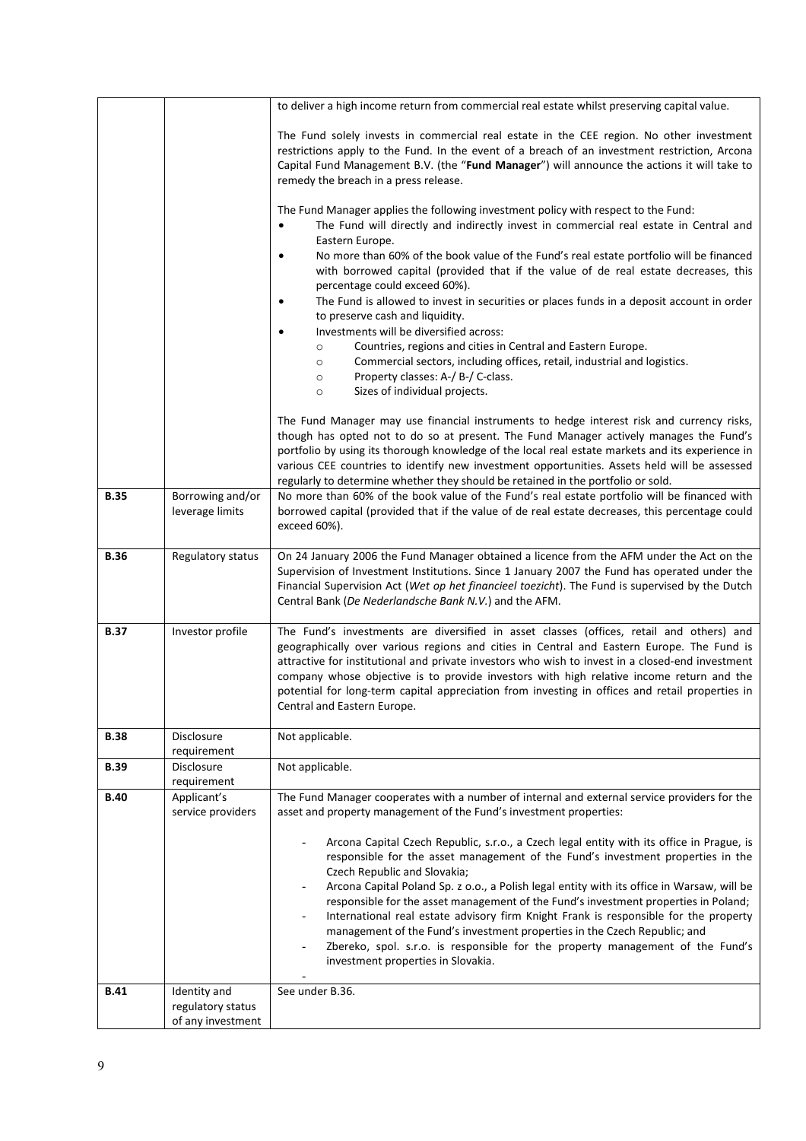|             |                                                        | to deliver a high income return from commercial real estate whilst preserving capital value.                                                                                                                                                                                                                                                                                                                                                                                                                                                                                                                                                                                                                                                                         |
|-------------|--------------------------------------------------------|----------------------------------------------------------------------------------------------------------------------------------------------------------------------------------------------------------------------------------------------------------------------------------------------------------------------------------------------------------------------------------------------------------------------------------------------------------------------------------------------------------------------------------------------------------------------------------------------------------------------------------------------------------------------------------------------------------------------------------------------------------------------|
|             |                                                        | The Fund solely invests in commercial real estate in the CEE region. No other investment<br>restrictions apply to the Fund. In the event of a breach of an investment restriction, Arcona<br>Capital Fund Management B.V. (the "Fund Manager") will announce the actions it will take to<br>remedy the breach in a press release.<br>The Fund Manager applies the following investment policy with respect to the Fund:                                                                                                                                                                                                                                                                                                                                              |
|             |                                                        | The Fund will directly and indirectly invest in commercial real estate in Central and<br>Eastern Europe.<br>No more than 60% of the book value of the Fund's real estate portfolio will be financed<br>$\bullet$<br>with borrowed capital (provided that if the value of de real estate decreases, this                                                                                                                                                                                                                                                                                                                                                                                                                                                              |
|             |                                                        | percentage could exceed 60%).<br>The Fund is allowed to invest in securities or places funds in a deposit account in order<br>$\bullet$<br>to preserve cash and liquidity.                                                                                                                                                                                                                                                                                                                                                                                                                                                                                                                                                                                           |
|             |                                                        | Investments will be diversified across:<br>$\bullet$<br>Countries, regions and cities in Central and Eastern Europe.<br>$\circ$                                                                                                                                                                                                                                                                                                                                                                                                                                                                                                                                                                                                                                      |
|             |                                                        | Commercial sectors, including offices, retail, industrial and logistics.<br>$\circ$<br>Property classes: A-/ B-/ C-class.<br>$\circ$<br>Sizes of individual projects.<br>$\circ$                                                                                                                                                                                                                                                                                                                                                                                                                                                                                                                                                                                     |
|             |                                                        | The Fund Manager may use financial instruments to hedge interest risk and currency risks,<br>though has opted not to do so at present. The Fund Manager actively manages the Fund's<br>portfolio by using its thorough knowledge of the local real estate markets and its experience in<br>various CEE countries to identify new investment opportunities. Assets held will be assessed<br>regularly to determine whether they should be retained in the portfolio or sold.                                                                                                                                                                                                                                                                                          |
| <b>B.35</b> | Borrowing and/or<br>leverage limits                    | No more than 60% of the book value of the Fund's real estate portfolio will be financed with<br>borrowed capital (provided that if the value of de real estate decreases, this percentage could<br>exceed 60%).                                                                                                                                                                                                                                                                                                                                                                                                                                                                                                                                                      |
| <b>B.36</b> | Regulatory status                                      | On 24 January 2006 the Fund Manager obtained a licence from the AFM under the Act on the<br>Supervision of Investment Institutions. Since 1 January 2007 the Fund has operated under the<br>Financial Supervision Act (Wet op het financieel toezicht). The Fund is supervised by the Dutch<br>Central Bank (De Nederlandsche Bank N.V.) and the AFM.                                                                                                                                                                                                                                                                                                                                                                                                                |
| <b>B.37</b> | Investor profile                                       | The Fund's investments are diversified in asset classes (offices, retail and others) and<br>geographically over various regions and cities in Central and Eastern Europe. The Fund is<br>attractive for institutional and private investors who wish to invest in a closed-end investment<br>company whose objective is to provide investors with high relative income return and the<br>potential for long-term capital appreciation from investing in offices and retail properties in<br>Central and Eastern Europe.                                                                                                                                                                                                                                              |
| <b>B.38</b> | Disclosure<br>requirement                              | Not applicable.                                                                                                                                                                                                                                                                                                                                                                                                                                                                                                                                                                                                                                                                                                                                                      |
| <b>B.39</b> | Disclosure<br>requirement                              | Not applicable.                                                                                                                                                                                                                                                                                                                                                                                                                                                                                                                                                                                                                                                                                                                                                      |
| <b>B.40</b> | Applicant's<br>service providers                       | The Fund Manager cooperates with a number of internal and external service providers for the<br>asset and property management of the Fund's investment properties:                                                                                                                                                                                                                                                                                                                                                                                                                                                                                                                                                                                                   |
|             |                                                        | Arcona Capital Czech Republic, s.r.o., a Czech legal entity with its office in Prague, is<br>$\qquad \qquad -$<br>responsible for the asset management of the Fund's investment properties in the<br>Czech Republic and Slovakia;<br>Arcona Capital Poland Sp. z o.o., a Polish legal entity with its office in Warsaw, will be<br>$\qquad \qquad -$<br>responsible for the asset management of the Fund's investment properties in Poland;<br>International real estate advisory firm Knight Frank is responsible for the property<br>$\overline{\phantom{a}}$<br>management of the Fund's investment properties in the Czech Republic; and<br>Zbereko, spol. s.r.o. is responsible for the property management of the Fund's<br>investment properties in Slovakia. |
| B.41        | Identity and<br>regulatory status<br>of any investment | See under B.36.                                                                                                                                                                                                                                                                                                                                                                                                                                                                                                                                                                                                                                                                                                                                                      |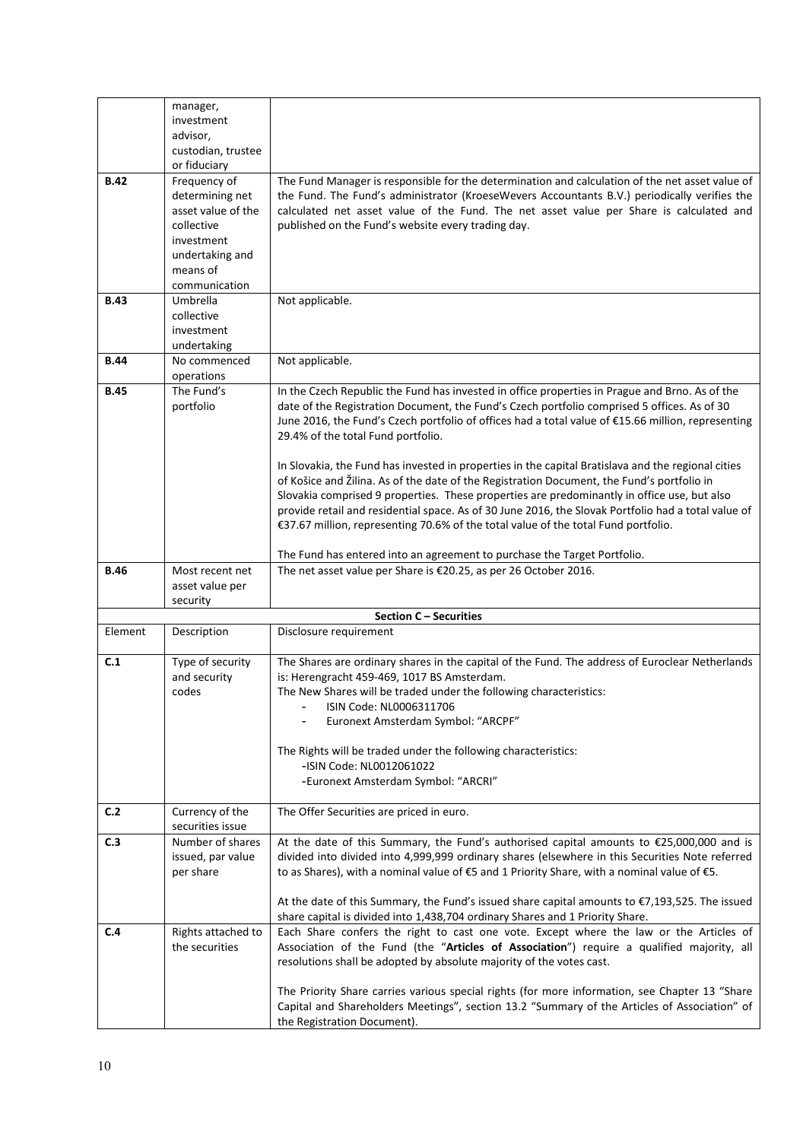|             | manager,              |                                                                                                     |
|-------------|-----------------------|-----------------------------------------------------------------------------------------------------|
|             | investment            |                                                                                                     |
|             | advisor,              |                                                                                                     |
|             | custodian, trustee    |                                                                                                     |
|             | or fiduciary          |                                                                                                     |
| <b>B.42</b> | Frequency of          | The Fund Manager is responsible for the determination and calculation of the net asset value of     |
|             | determining net       | the Fund. The Fund's administrator (KroeseWevers Accountants B.V.) periodically verifies the        |
|             | asset value of the    | calculated net asset value of the Fund. The net asset value per Share is calculated and             |
|             | collective            | published on the Fund's website every trading day.                                                  |
|             | investment            |                                                                                                     |
|             | undertaking and       |                                                                                                     |
|             | means of              |                                                                                                     |
|             | communication         |                                                                                                     |
| <b>B.43</b> | Umbrella              | Not applicable.                                                                                     |
|             | collective            |                                                                                                     |
|             | investment            |                                                                                                     |
|             | undertaking           |                                                                                                     |
| <b>B.44</b> | No commenced          | Not applicable.                                                                                     |
|             | operations            |                                                                                                     |
| <b>B.45</b> | The Fund's            | In the Czech Republic the Fund has invested in office properties in Prague and Brno. As of the      |
|             | portfolio             | date of the Registration Document, the Fund's Czech portfolio comprised 5 offices. As of 30         |
|             |                       | June 2016, the Fund's Czech portfolio of offices had a total value of €15.66 million, representing  |
|             |                       | 29.4% of the total Fund portfolio.                                                                  |
|             |                       |                                                                                                     |
|             |                       | In Slovakia, the Fund has invested in properties in the capital Bratislava and the regional cities  |
|             |                       | of Košice and Žilina. As of the date of the Registration Document, the Fund's portfolio in          |
|             |                       | Slovakia comprised 9 properties. These properties are predominantly in office use, but also         |
|             |                       | provide retail and residential space. As of 30 June 2016, the Slovak Portfolio had a total value of |
|             |                       | €37.67 million, representing 70.6% of the total value of the total Fund portfolio.                  |
|             |                       |                                                                                                     |
|             |                       | The Fund has entered into an agreement to purchase the Target Portfolio.                            |
| <b>B.46</b> | Most recent net       | The net asset value per Share is €20.25, as per 26 October 2016.                                    |
|             |                       |                                                                                                     |
|             | asset value per       |                                                                                                     |
|             | security              |                                                                                                     |
|             |                       | Section C - Securities                                                                              |
| Element     | Description           | Disclosure requirement                                                                              |
|             |                       |                                                                                                     |
| C.1         | Type of security      | The Shares are ordinary shares in the capital of the Fund. The address of Euroclear Netherlands     |
|             | and security<br>codes | is: Herengracht 459-469, 1017 BS Amsterdam.                                                         |
|             |                       | The New Shares will be traded under the following characteristics:                                  |
|             |                       | ISIN Code: NL0006311706                                                                             |
|             |                       | Euronext Amsterdam Symbol: "ARCPF"                                                                  |
|             |                       | The Rights will be traded under the following characteristics:                                      |
|             |                       | -ISIN Code: NL0012061022                                                                            |
|             |                       | -Euronext Amsterdam Symbol: "ARCRI"                                                                 |
|             |                       |                                                                                                     |
| C.2         | Currency of the       | The Offer Securities are priced in euro.                                                            |
|             | securities issue      |                                                                                                     |
| C.3         | Number of shares      | At the date of this Summary, the Fund's authorised capital amounts to €25,000,000 and is            |
|             | issued, par value     | divided into divided into 4,999,999 ordinary shares (elsewhere in this Securities Note referred     |
|             | per share             | to as Shares), with a nominal value of €5 and 1 Priority Share, with a nominal value of €5.         |
|             |                       |                                                                                                     |
|             |                       | At the date of this Summary, the Fund's issued share capital amounts to €7,193,525. The issued      |
|             |                       | share capital is divided into 1,438,704 ordinary Shares and 1 Priority Share.                       |
| C.4         | Rights attached to    | Each Share confers the right to cast one vote. Except where the law or the Articles of              |
|             | the securities        | Association of the Fund (the "Articles of Association") require a qualified majority, all           |
|             |                       | resolutions shall be adopted by absolute majority of the votes cast.                                |
|             |                       |                                                                                                     |
|             |                       | The Priority Share carries various special rights (for more information, see Chapter 13 "Share      |
|             |                       | Capital and Shareholders Meetings", section 13.2 "Summary of the Articles of Association" of        |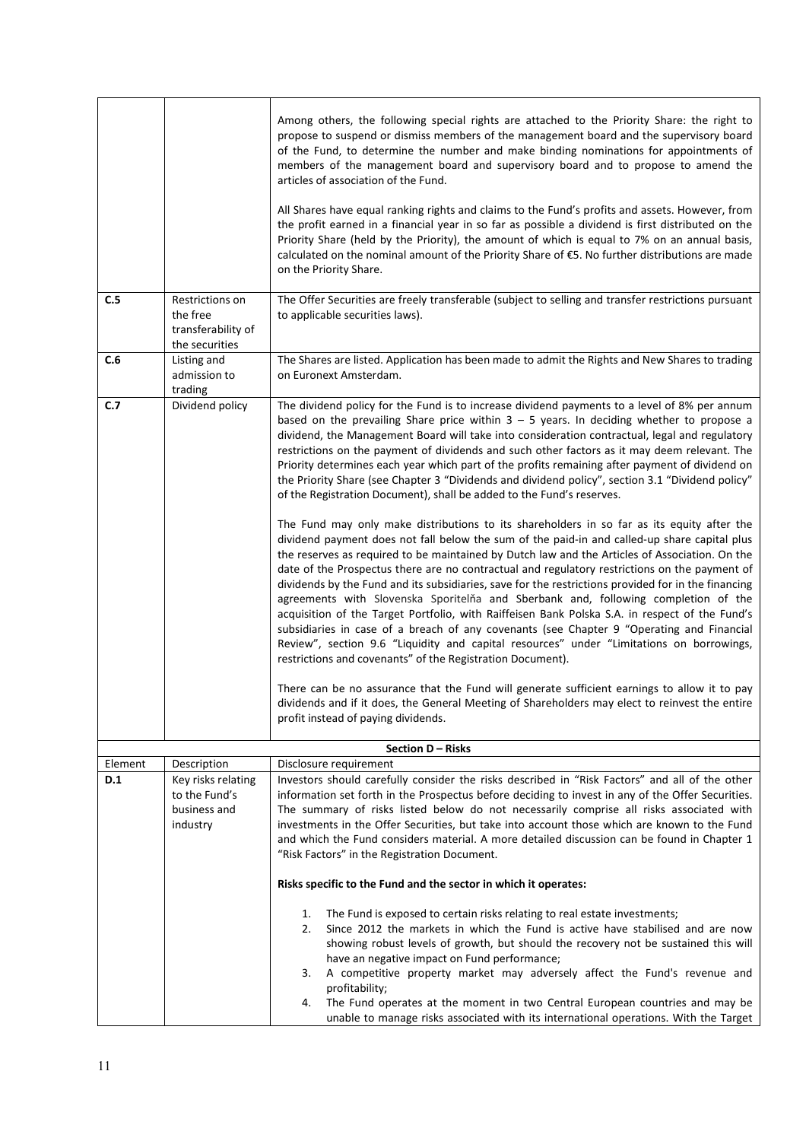| C.5     | Restrictions on                                                 | Among others, the following special rights are attached to the Priority Share: the right to<br>propose to suspend or dismiss members of the management board and the supervisory board<br>of the Fund, to determine the number and make binding nominations for appointments of<br>members of the management board and supervisory board and to propose to amend the<br>articles of association of the Fund.<br>All Shares have equal ranking rights and claims to the Fund's profits and assets. However, from<br>the profit earned in a financial year in so far as possible a dividend is first distributed on the<br>Priority Share (held by the Priority), the amount of which is equal to 7% on an annual basis,<br>calculated on the nominal amount of the Priority Share of €5. No further distributions are made<br>on the Priority Share.<br>The Offer Securities are freely transferable (subject to selling and transfer restrictions pursuant                                                                                                                                                                                                                                                                                                                                                                                                                                                                                                                                                                                                                                                                                                                                                                                                                                                                                                                 |
|---------|-----------------------------------------------------------------|----------------------------------------------------------------------------------------------------------------------------------------------------------------------------------------------------------------------------------------------------------------------------------------------------------------------------------------------------------------------------------------------------------------------------------------------------------------------------------------------------------------------------------------------------------------------------------------------------------------------------------------------------------------------------------------------------------------------------------------------------------------------------------------------------------------------------------------------------------------------------------------------------------------------------------------------------------------------------------------------------------------------------------------------------------------------------------------------------------------------------------------------------------------------------------------------------------------------------------------------------------------------------------------------------------------------------------------------------------------------------------------------------------------------------------------------------------------------------------------------------------------------------------------------------------------------------------------------------------------------------------------------------------------------------------------------------------------------------------------------------------------------------------------------------------------------------------------------------------------------------|
|         | the free<br>transferability of<br>the securities                | to applicable securities laws).                                                                                                                                                                                                                                                                                                                                                                                                                                                                                                                                                                                                                                                                                                                                                                                                                                                                                                                                                                                                                                                                                                                                                                                                                                                                                                                                                                                                                                                                                                                                                                                                                                                                                                                                                                                                                                            |
| C.6     | Listing and<br>admission to<br>trading                          | The Shares are listed. Application has been made to admit the Rights and New Shares to trading<br>on Euronext Amsterdam.                                                                                                                                                                                                                                                                                                                                                                                                                                                                                                                                                                                                                                                                                                                                                                                                                                                                                                                                                                                                                                                                                                                                                                                                                                                                                                                                                                                                                                                                                                                                                                                                                                                                                                                                                   |
| C.7     | Dividend policy                                                 | The dividend policy for the Fund is to increase dividend payments to a level of 8% per annum<br>based on the prevailing Share price within $3 - 5$ years. In deciding whether to propose a<br>dividend, the Management Board will take into consideration contractual, legal and regulatory<br>restrictions on the payment of dividends and such other factors as it may deem relevant. The<br>Priority determines each year which part of the profits remaining after payment of dividend on<br>the Priority Share (see Chapter 3 "Dividends and dividend policy", section 3.1 "Dividend policy"<br>of the Registration Document), shall be added to the Fund's reserves.<br>The Fund may only make distributions to its shareholders in so far as its equity after the<br>dividend payment does not fall below the sum of the paid-in and called-up share capital plus<br>the reserves as required to be maintained by Dutch law and the Articles of Association. On the<br>date of the Prospectus there are no contractual and regulatory restrictions on the payment of<br>dividends by the Fund and its subsidiaries, save for the restrictions provided for in the financing<br>agreements with Slovenska Sporitelňa and Sberbank and, following completion of the<br>acquisition of the Target Portfolio, with Raiffeisen Bank Polska S.A. in respect of the Fund's<br>subsidiaries in case of a breach of any covenants (see Chapter 9 "Operating and Financial<br>Review", section 9.6 "Liquidity and capital resources" under "Limitations on borrowings,<br>restrictions and covenants" of the Registration Document).<br>There can be no assurance that the Fund will generate sufficient earnings to allow it to pay<br>dividends and if it does, the General Meeting of Shareholders may elect to reinvest the entire<br>profit instead of paying dividends. |
|         |                                                                 | Section D - Risks                                                                                                                                                                                                                                                                                                                                                                                                                                                                                                                                                                                                                                                                                                                                                                                                                                                                                                                                                                                                                                                                                                                                                                                                                                                                                                                                                                                                                                                                                                                                                                                                                                                                                                                                                                                                                                                          |
| Element | Description                                                     | Disclosure requirement                                                                                                                                                                                                                                                                                                                                                                                                                                                                                                                                                                                                                                                                                                                                                                                                                                                                                                                                                                                                                                                                                                                                                                                                                                                                                                                                                                                                                                                                                                                                                                                                                                                                                                                                                                                                                                                     |
| D.1     | Key risks relating<br>to the Fund's<br>business and<br>industry | Investors should carefully consider the risks described in "Risk Factors" and all of the other<br>information set forth in the Prospectus before deciding to invest in any of the Offer Securities.<br>The summary of risks listed below do not necessarily comprise all risks associated with<br>investments in the Offer Securities, but take into account those which are known to the Fund<br>and which the Fund considers material. A more detailed discussion can be found in Chapter 1<br>"Risk Factors" in the Registration Document.                                                                                                                                                                                                                                                                                                                                                                                                                                                                                                                                                                                                                                                                                                                                                                                                                                                                                                                                                                                                                                                                                                                                                                                                                                                                                                                              |
|         |                                                                 | Risks specific to the Fund and the sector in which it operates:<br>The Fund is exposed to certain risks relating to real estate investments;<br>1.<br>Since 2012 the markets in which the Fund is active have stabilised and are now<br>2.                                                                                                                                                                                                                                                                                                                                                                                                                                                                                                                                                                                                                                                                                                                                                                                                                                                                                                                                                                                                                                                                                                                                                                                                                                                                                                                                                                                                                                                                                                                                                                                                                                 |
|         |                                                                 | showing robust levels of growth, but should the recovery not be sustained this will<br>have an negative impact on Fund performance;<br>A competitive property market may adversely affect the Fund's revenue and<br>3.<br>profitability;<br>The Fund operates at the moment in two Central European countries and may be<br>4.<br>unable to manage risks associated with its international operations. With the Target                                                                                                                                                                                                                                                                                                                                                                                                                                                                                                                                                                                                                                                                                                                                                                                                                                                                                                                                                                                                                                                                                                                                                                                                                                                                                                                                                                                                                                                     |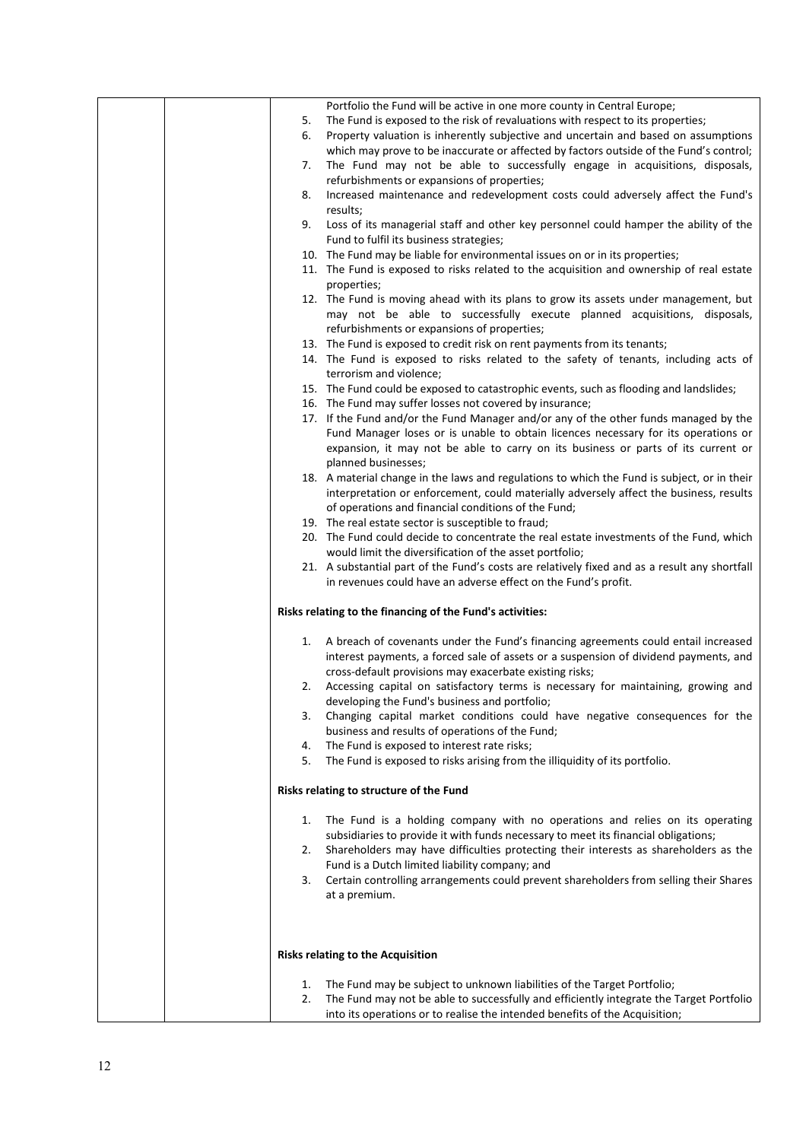|  |    | Portfolio the Fund will be active in one more county in Central Europe;                                                            |
|--|----|------------------------------------------------------------------------------------------------------------------------------------|
|  | 5. | The Fund is exposed to the risk of revaluations with respect to its properties;                                                    |
|  | 6. | Property valuation is inherently subjective and uncertain and based on assumptions                                                 |
|  |    | which may prove to be inaccurate or affected by factors outside of the Fund's control;                                             |
|  | 7. | The Fund may not be able to successfully engage in acquisitions, disposals,                                                        |
|  |    | refurbishments or expansions of properties;                                                                                        |
|  | 8. | Increased maintenance and redevelopment costs could adversely affect the Fund's                                                    |
|  |    | results;                                                                                                                           |
|  | 9. | Loss of its managerial staff and other key personnel could hamper the ability of the                                               |
|  |    | Fund to fulfil its business strategies;                                                                                            |
|  |    | 10. The Fund may be liable for environmental issues on or in its properties;                                                       |
|  |    | 11. The Fund is exposed to risks related to the acquisition and ownership of real estate                                           |
|  |    | properties;                                                                                                                        |
|  |    | 12. The Fund is moving ahead with its plans to grow its assets under management, but                                               |
|  |    | may not be able to successfully execute planned acquisitions, disposals,                                                           |
|  |    | refurbishments or expansions of properties;                                                                                        |
|  |    | 13. The Fund is exposed to credit risk on rent payments from its tenants;                                                          |
|  |    | 14. The Fund is exposed to risks related to the safety of tenants, including acts of                                               |
|  |    | terrorism and violence;                                                                                                            |
|  |    | 15. The Fund could be exposed to catastrophic events, such as flooding and landslides;                                             |
|  |    | 16. The Fund may suffer losses not covered by insurance;                                                                           |
|  |    | 17. If the Fund and/or the Fund Manager and/or any of the other funds managed by the                                               |
|  |    | Fund Manager loses or is unable to obtain licences necessary for its operations or                                                 |
|  |    | expansion, it may not be able to carry on its business or parts of its current or                                                  |
|  |    | planned businesses;                                                                                                                |
|  |    | 18. A material change in the laws and regulations to which the Fund is subject, or in their                                        |
|  |    | interpretation or enforcement, could materially adversely affect the business, results                                             |
|  |    | of operations and financial conditions of the Fund;                                                                                |
|  |    | 19. The real estate sector is susceptible to fraud;                                                                                |
|  |    | 20. The Fund could decide to concentrate the real estate investments of the Fund, which                                            |
|  |    | would limit the diversification of the asset portfolio;                                                                            |
|  |    | 21. A substantial part of the Fund's costs are relatively fixed and as a result any shortfall                                      |
|  |    | in revenues could have an adverse effect on the Fund's profit.                                                                     |
|  |    | Risks relating to the financing of the Fund's activities:                                                                          |
|  |    |                                                                                                                                    |
|  | 1. | A breach of covenants under the Fund's financing agreements could entail increased                                                 |
|  |    | interest payments, a forced sale of assets or a suspension of dividend payments, and                                               |
|  |    | cross-default provisions may exacerbate existing risks;                                                                            |
|  | 2. | Accessing capital on satisfactory terms is necessary for maintaining, growing and<br>developing the Fund's business and portfolio; |
|  | 3. | Changing capital market conditions could have negative consequences for the                                                        |
|  |    | business and results of operations of the Fund;                                                                                    |
|  | 4. | The Fund is exposed to interest rate risks;                                                                                        |
|  | 5. | The Fund is exposed to risks arising from the illiquidity of its portfolio.                                                        |
|  |    |                                                                                                                                    |
|  |    | Risks relating to structure of the Fund                                                                                            |
|  | 1. | The Fund is a holding company with no operations and relies on its operating                                                       |
|  |    | subsidiaries to provide it with funds necessary to meet its financial obligations;                                                 |
|  | 2. | Shareholders may have difficulties protecting their interests as shareholders as the                                               |
|  |    | Fund is a Dutch limited liability company; and                                                                                     |
|  | 3. | Certain controlling arrangements could prevent shareholders from selling their Shares                                              |
|  |    | at a premium.                                                                                                                      |
|  |    |                                                                                                                                    |
|  |    |                                                                                                                                    |
|  |    | Risks relating to the Acquisition                                                                                                  |
|  | 1. | The Fund may be subject to unknown liabilities of the Target Portfolio;                                                            |
|  | 2. | The Fund may not be able to successfully and efficiently integrate the Target Portfolio                                            |
|  |    | into its operations or to realise the intended benefits of the Acquisition;                                                        |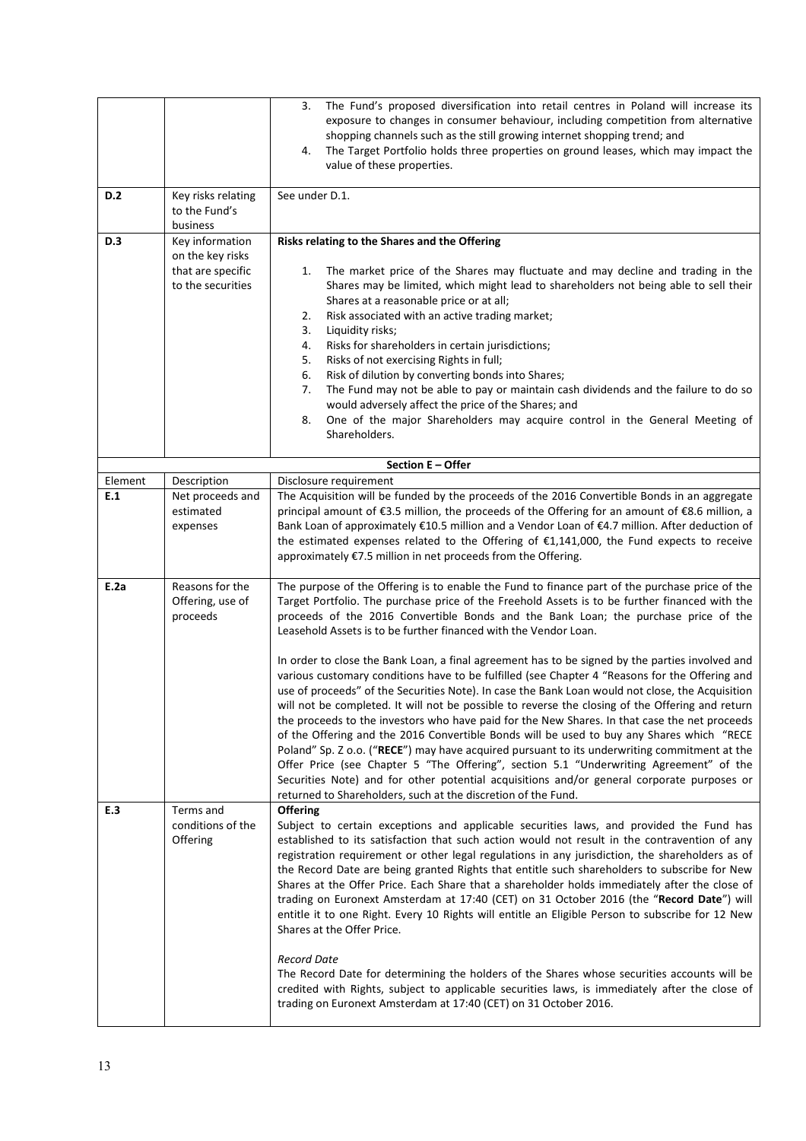|         |                                                            | The Fund's proposed diversification into retail centres in Poland will increase its<br>3.<br>exposure to changes in consumer behaviour, including competition from alternative<br>shopping channels such as the still growing internet shopping trend; and<br>The Target Portfolio holds three properties on ground leases, which may impact the<br>4.<br>value of these properties.                                                                                                                                                                                                                                                                                                                                                                                                                                                                                                                                                                                                                                                                                                                                                                                                                                                                                                                                            |
|---------|------------------------------------------------------------|---------------------------------------------------------------------------------------------------------------------------------------------------------------------------------------------------------------------------------------------------------------------------------------------------------------------------------------------------------------------------------------------------------------------------------------------------------------------------------------------------------------------------------------------------------------------------------------------------------------------------------------------------------------------------------------------------------------------------------------------------------------------------------------------------------------------------------------------------------------------------------------------------------------------------------------------------------------------------------------------------------------------------------------------------------------------------------------------------------------------------------------------------------------------------------------------------------------------------------------------------------------------------------------------------------------------------------|
| D.2     | Key risks relating<br>to the Fund's<br>business            | See under D.1.                                                                                                                                                                                                                                                                                                                                                                                                                                                                                                                                                                                                                                                                                                                                                                                                                                                                                                                                                                                                                                                                                                                                                                                                                                                                                                                  |
| D.3     | Key information                                            | Risks relating to the Shares and the Offering                                                                                                                                                                                                                                                                                                                                                                                                                                                                                                                                                                                                                                                                                                                                                                                                                                                                                                                                                                                                                                                                                                                                                                                                                                                                                   |
|         | on the key risks<br>that are specific<br>to the securities | The market price of the Shares may fluctuate and may decline and trading in the<br>1.<br>Shares may be limited, which might lead to shareholders not being able to sell their<br>Shares at a reasonable price or at all;<br>Risk associated with an active trading market;<br>2.<br>3.<br>Liquidity risks;<br>Risks for shareholders in certain jurisdictions;<br>4.<br>Risks of not exercising Rights in full;<br>5.<br>Risk of dilution by converting bonds into Shares;<br>6.<br>The Fund may not be able to pay or maintain cash dividends and the failure to do so<br>7.<br>would adversely affect the price of the Shares; and<br>One of the major Shareholders may acquire control in the General Meeting of<br>8.<br>Shareholders.                                                                                                                                                                                                                                                                                                                                                                                                                                                                                                                                                                                      |
|         |                                                            | Section E - Offer                                                                                                                                                                                                                                                                                                                                                                                                                                                                                                                                                                                                                                                                                                                                                                                                                                                                                                                                                                                                                                                                                                                                                                                                                                                                                                               |
| Element | Description                                                | Disclosure requirement                                                                                                                                                                                                                                                                                                                                                                                                                                                                                                                                                                                                                                                                                                                                                                                                                                                                                                                                                                                                                                                                                                                                                                                                                                                                                                          |
| E.1     | Net proceeds and<br>estimated<br>expenses                  | The Acquisition will be funded by the proceeds of the 2016 Convertible Bonds in an aggregate<br>principal amount of €3.5 million, the proceeds of the Offering for an amount of €8.6 million, a<br>Bank Loan of approximately €10.5 million and a Vendor Loan of €4.7 million. After deduction of<br>the estimated expenses related to the Offering of €1,141,000, the Fund expects to receive<br>approximately €7.5 million in net proceeds from the Offering.                                                                                                                                                                                                                                                                                                                                                                                                                                                                                                                                                                                                                                                                                                                                                                                                                                                                 |
| E.2a    | Reasons for the<br>Offering, use of<br>proceeds            | The purpose of the Offering is to enable the Fund to finance part of the purchase price of the<br>Target Portfolio. The purchase price of the Freehold Assets is to be further financed with the<br>proceeds of the 2016 Convertible Bonds and the Bank Loan; the purchase price of the<br>Leasehold Assets is to be further financed with the Vendor Loan.<br>In order to close the Bank Loan, a final agreement has to be signed by the parties involved and<br>various customary conditions have to be fulfilled (see Chapter 4 "Reasons for the Offering and<br>use of proceeds" of the Securities Note). In case the Bank Loan would not close, the Acquisition<br>will not be completed. It will not be possible to reverse the closing of the Offering and return<br>the proceeds to the investors who have paid for the New Shares. In that case the net proceeds<br>of the Offering and the 2016 Convertible Bonds will be used to buy any Shares which "RECE<br>Poland" Sp. Z o.o. ("RECE") may have acquired pursuant to its underwriting commitment at the<br>Offer Price (see Chapter 5 "The Offering", section 5.1 "Underwriting Agreement" of the<br>Securities Note) and for other potential acquisitions and/or general corporate purposes or<br>returned to Shareholders, such at the discretion of the Fund. |
| E.3     | Terms and<br>conditions of the<br>Offering                 | <b>Offering</b><br>Subject to certain exceptions and applicable securities laws, and provided the Fund has<br>established to its satisfaction that such action would not result in the contravention of any<br>registration requirement or other legal regulations in any jurisdiction, the shareholders as of<br>the Record Date are being granted Rights that entitle such shareholders to subscribe for New<br>Shares at the Offer Price. Each Share that a shareholder holds immediately after the close of<br>trading on Euronext Amsterdam at 17:40 (CET) on 31 October 2016 (the "Record Date") will<br>entitle it to one Right. Every 10 Rights will entitle an Eligible Person to subscribe for 12 New<br>Shares at the Offer Price.<br><b>Record Date</b><br>The Record Date for determining the holders of the Shares whose securities accounts will be<br>credited with Rights, subject to applicable securities laws, is immediately after the close of<br>trading on Euronext Amsterdam at 17:40 (CET) on 31 October 2016.                                                                                                                                                                                                                                                                                        |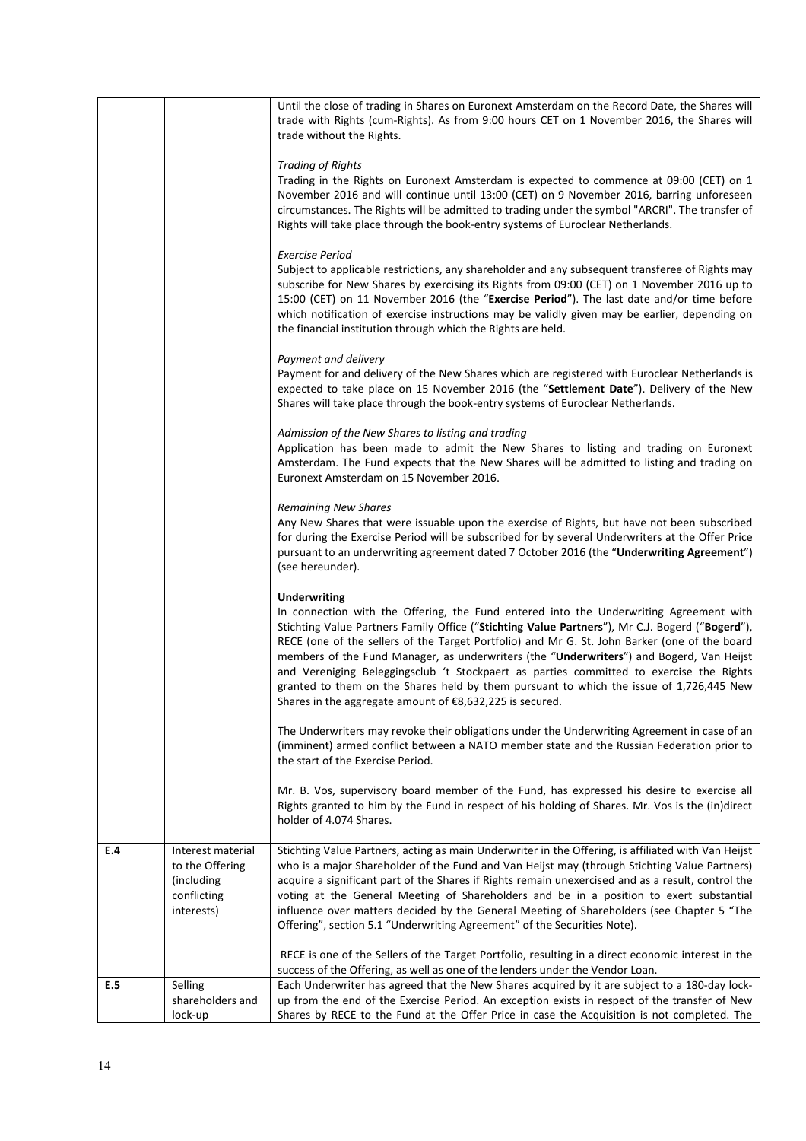|     |                           | Until the close of trading in Shares on Euronext Amsterdam on the Record Date, the Shares will<br>trade with Rights (cum-Rights). As from 9:00 hours CET on 1 November 2016, the Shares will<br>trade without the Rights.                                                                                                                                                                                                                                                                                                                                                                                                                                       |
|-----|---------------------------|-----------------------------------------------------------------------------------------------------------------------------------------------------------------------------------------------------------------------------------------------------------------------------------------------------------------------------------------------------------------------------------------------------------------------------------------------------------------------------------------------------------------------------------------------------------------------------------------------------------------------------------------------------------------|
|     |                           | <b>Trading of Rights</b>                                                                                                                                                                                                                                                                                                                                                                                                                                                                                                                                                                                                                                        |
|     |                           | Trading in the Rights on Euronext Amsterdam is expected to commence at 09:00 (CET) on 1<br>November 2016 and will continue until 13:00 (CET) on 9 November 2016, barring unforeseen<br>circumstances. The Rights will be admitted to trading under the symbol "ARCRI". The transfer of<br>Rights will take place through the book-entry systems of Euroclear Netherlands.                                                                                                                                                                                                                                                                                       |
|     |                           |                                                                                                                                                                                                                                                                                                                                                                                                                                                                                                                                                                                                                                                                 |
|     |                           | Exercise Period<br>Subject to applicable restrictions, any shareholder and any subsequent transferee of Rights may<br>subscribe for New Shares by exercising its Rights from 09:00 (CET) on 1 November 2016 up to<br>15:00 (CET) on 11 November 2016 (the "Exercise Period"). The last date and/or time before<br>which notification of exercise instructions may be validly given may be earlier, depending on<br>the financial institution through which the Rights are held.                                                                                                                                                                                 |
|     |                           |                                                                                                                                                                                                                                                                                                                                                                                                                                                                                                                                                                                                                                                                 |
|     |                           | Payment and delivery<br>Payment for and delivery of the New Shares which are registered with Euroclear Netherlands is<br>expected to take place on 15 November 2016 (the "Settlement Date"). Delivery of the New<br>Shares will take place through the book-entry systems of Euroclear Netherlands.                                                                                                                                                                                                                                                                                                                                                             |
|     |                           | Admission of the New Shares to listing and trading<br>Application has been made to admit the New Shares to listing and trading on Euronext<br>Amsterdam. The Fund expects that the New Shares will be admitted to listing and trading on<br>Euronext Amsterdam on 15 November 2016.                                                                                                                                                                                                                                                                                                                                                                             |
|     |                           | <b>Remaining New Shares</b><br>Any New Shares that were issuable upon the exercise of Rights, but have not been subscribed<br>for during the Exercise Period will be subscribed for by several Underwriters at the Offer Price<br>pursuant to an underwriting agreement dated 7 October 2016 (the "Underwriting Agreement")<br>(see hereunder).                                                                                                                                                                                                                                                                                                                 |
|     |                           | <b>Underwriting</b><br>In connection with the Offering, the Fund entered into the Underwriting Agreement with<br>Stichting Value Partners Family Office ("Stichting Value Partners"), Mr C.J. Bogerd ("Bogerd"),<br>RECE (one of the sellers of the Target Portfolio) and Mr G. St. John Barker (one of the board<br>members of the Fund Manager, as underwriters (the "Underwriters") and Bogerd, Van Heijst<br>and Vereniging Beleggingsclub 't Stockpaert as parties committed to exercise the Rights<br>granted to them on the Shares held by them pursuant to which the issue of 1,726,445 New<br>Shares in the aggregate amount of €8,632,225 is secured. |
|     |                           | The Underwriters may revoke their obligations under the Underwriting Agreement in case of an<br>(imminent) armed conflict between a NATO member state and the Russian Federation prior to<br>the start of the Exercise Period.                                                                                                                                                                                                                                                                                                                                                                                                                                  |
|     |                           | Mr. B. Vos, supervisory board member of the Fund, has expressed his desire to exercise all<br>Rights granted to him by the Fund in respect of his holding of Shares. Mr. Vos is the (in)direct<br>holder of 4.074 Shares.                                                                                                                                                                                                                                                                                                                                                                                                                                       |
| E.4 | Interest material         | Stichting Value Partners, acting as main Underwriter in the Offering, is affiliated with Van Heijst                                                                                                                                                                                                                                                                                                                                                                                                                                                                                                                                                             |
|     | to the Offering           | who is a major Shareholder of the Fund and Van Heijst may (through Stichting Value Partners)                                                                                                                                                                                                                                                                                                                                                                                                                                                                                                                                                                    |
|     | (including)               | acquire a significant part of the Shares if Rights remain unexercised and as a result, control the                                                                                                                                                                                                                                                                                                                                                                                                                                                                                                                                                              |
|     | conflicting<br>interests) | voting at the General Meeting of Shareholders and be in a position to exert substantial<br>influence over matters decided by the General Meeting of Shareholders (see Chapter 5 "The<br>Offering", section 5.1 "Underwriting Agreement" of the Securities Note).                                                                                                                                                                                                                                                                                                                                                                                                |
|     |                           | RECE is one of the Sellers of the Target Portfolio, resulting in a direct economic interest in the<br>success of the Offering, as well as one of the lenders under the Vendor Loan.                                                                                                                                                                                                                                                                                                                                                                                                                                                                             |
| E.5 | Selling                   | Each Underwriter has agreed that the New Shares acquired by it are subject to a 180-day lock-                                                                                                                                                                                                                                                                                                                                                                                                                                                                                                                                                                   |
|     | shareholders and          | up from the end of the Exercise Period. An exception exists in respect of the transfer of New                                                                                                                                                                                                                                                                                                                                                                                                                                                                                                                                                                   |
|     | lock-up                   | Shares by RECE to the Fund at the Offer Price in case the Acquisition is not completed. The                                                                                                                                                                                                                                                                                                                                                                                                                                                                                                                                                                     |
|     |                           |                                                                                                                                                                                                                                                                                                                                                                                                                                                                                                                                                                                                                                                                 |